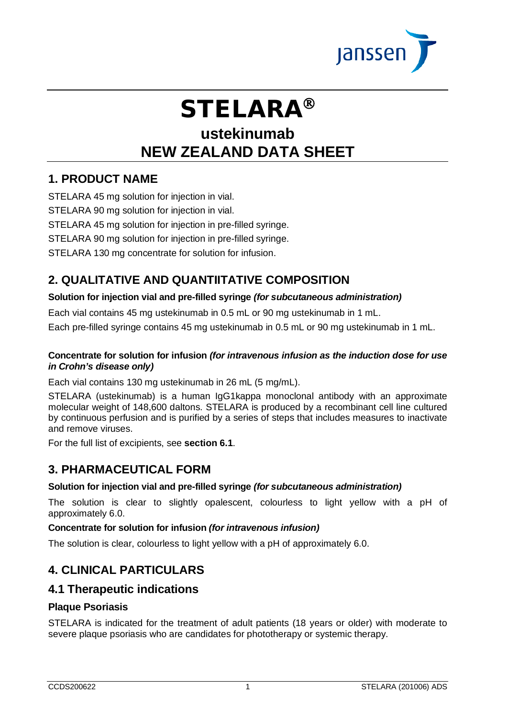

# **STELARA®**

# **ustekinumab NEW ZEALAND DATA SHEET**

# **1. PRODUCT NAME**

STELARA 45 mg solution for injection in vial.

STELARA 90 mg solution for injection in vial.

STELARA 45 mg solution for injection in pre-filled syringe.

STELARA 90 mg solution for injection in pre-filled syringe.

STELARA 130 mg concentrate for solution for infusion.

# **2. QUALITATIVE AND QUANTIITATIVE COMPOSITION**

# **Solution for injection vial and pre-filled syringe** *(for subcutaneous administration)*

Each vial contains 45 mg ustekinumab in 0.5 mL or 90 mg ustekinumab in 1 mL.

Each pre-filled syringe contains 45 mg ustekinumab in 0.5 mL or 90 mg ustekinumab in 1 mL.

# **Concentrate for solution for infusion** *(for intravenous infusion as the induction dose for use in Crohn's disease only)*

Each vial contains 130 mg ustekinumab in 26 mL (5 mg/mL).

STELARA (ustekinumab) is a human IgG1kappa monoclonal antibody with an approximate molecular weight of 148,600 daltons. STELARA is produced by a recombinant cell line cultured by continuous perfusion and is purified by a series of steps that includes measures to inactivate and remove viruses.

For the full list of excipients, see **section 6.1**.

# **3. PHARMACEUTICAL FORM**

# **Solution for injection vial and pre-filled syringe** *(for subcutaneous administration)*

The solution is clear to slightly opalescent, colourless to light yellow with a pH of approximately 6.0.

# **Concentrate for solution for infusion** *(for intravenous infusion)*

The solution is clear, colourless to light yellow with a pH of approximately 6.0.

# **4. CLINICAL PARTICULARS**

# **4.1 Therapeutic indications**

# **Plaque Psoriasis**

STELARA is indicated for the treatment of adult patients (18 years or older) with moderate to severe plaque psoriasis who are candidates for phototherapy or systemic therapy.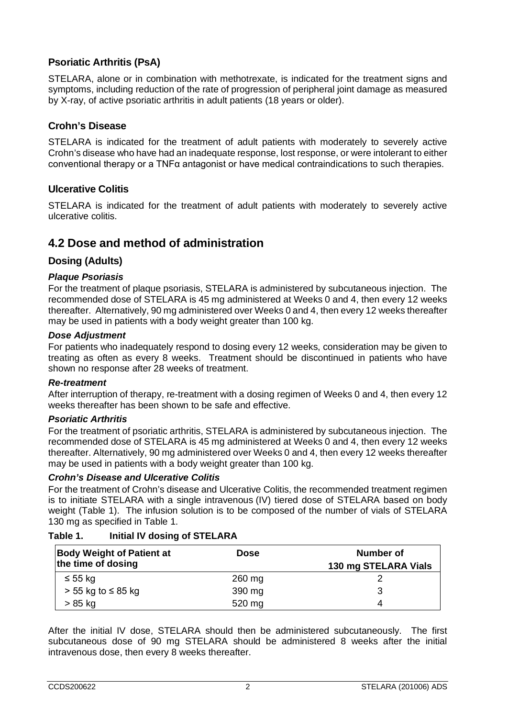# **Psoriatic Arthritis (PsA)**

STELARA, alone or in combination with methotrexate, is indicated for the treatment signs and symptoms, including reduction of the rate of progression of peripheral joint damage as measured by X-ray, of active psoriatic arthritis in adult patients (18 years or older).

# **Crohn's Disease**

STELARA is indicated for the treatment of adult patients with moderately to severely active Crohn's disease who have had an inadequate response, lost response, or were intolerant to either conventional therapy or a TNFα antagonist or have medical contraindications to such therapies.

# **Ulcerative Colitis**

STELARA is indicated for the treatment of adult patients with moderately to severely active ulcerative colitis.

# **4.2 Dose and method of administration**

# **Dosing (Adults)**

## *Plaque Psoriasis*

For the treatment of plaque psoriasis, STELARA is administered by subcutaneous injection. The recommended dose of STELARA is 45 mg administered at Weeks 0 and 4, then every 12 weeks thereafter. Alternatively, 90 mg administered over Weeks 0 and 4, then every 12 weeks thereafter may be used in patients with a body weight greater than 100 kg.

## *Dose Adjustment*

For patients who inadequately respond to dosing every 12 weeks, consideration may be given to treating as often as every 8 weeks. Treatment should be discontinued in patients who have shown no response after 28 weeks of treatment.

#### *Re-treatment*

After interruption of therapy, re-treatment with a dosing regimen of Weeks 0 and 4, then every 12 weeks thereafter has been shown to be safe and effective.

#### *Psoriatic Arthritis*

For the treatment of psoriatic arthritis, STELARA is administered by subcutaneous injection. The recommended dose of STELARA is 45 mg administered at Weeks 0 and 4, then every 12 weeks thereafter. Alternatively, 90 mg administered over Weeks 0 and 4, then every 12 weeks thereafter may be used in patients with a body weight greater than 100 kg.

#### *Crohn's Disease and Ulcerative Colitis*

For the treatment of Crohn's disease and Ulcerative Colitis, the recommended treatment regimen is to initiate STELARA with a single intravenous (IV) tiered dose of STELARA based on body weight (Table 1). The infusion solution is to be composed of the number of vials of STELARA 130 mg as specified in Table 1.

# **Table 1. Initial IV dosing of STELARA**

| <b>Body Weight of Patient at</b><br>the time of dosing | <b>Dose</b> | <b>Number of</b><br>130 mg STELARA Vials |
|--------------------------------------------------------|-------------|------------------------------------------|
| $\leq 55$ kg                                           | 260 mg      |                                          |
| $> 55$ kg to $\leq 85$ kg                              | 390 mg      | 3                                        |
| > 85 kg                                                | 520 mg      | 4                                        |

After the initial IV dose, STELARA should then be administered subcutaneously. The first subcutaneous dose of 90 mg STELARA should be administered 8 weeks after the initial intravenous dose, then every 8 weeks thereafter.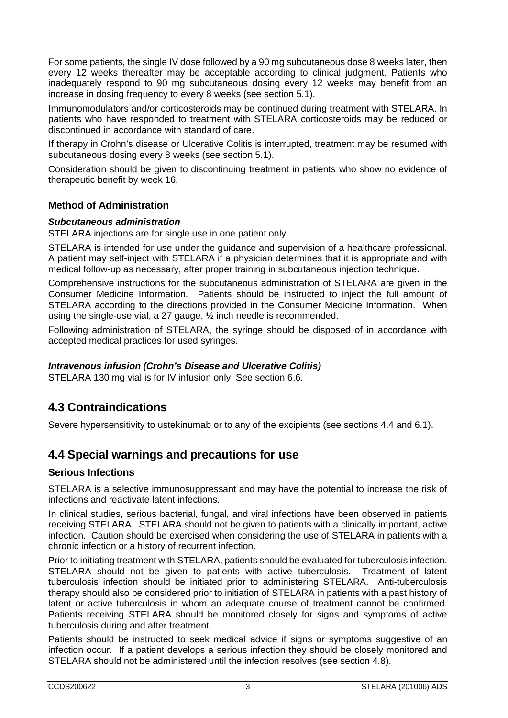For some patients, the single IV dose followed by a 90 mg subcutaneous dose 8 weeks later, then every 12 weeks thereafter may be acceptable according to clinical judgment. Patients who inadequately respond to 90 mg subcutaneous dosing every 12 weeks may benefit from an increase in dosing frequency to every 8 weeks (see section 5.1).

Immunomodulators and/or corticosteroids may be continued during treatment with STELARA. In patients who have responded to treatment with STELARA corticosteroids may be reduced or discontinued in accordance with standard of care.

If therapy in Crohn's disease or Ulcerative Colitis is interrupted, treatment may be resumed with subcutaneous dosing every 8 weeks (see section 5.1).

Consideration should be given to discontinuing treatment in patients who show no evidence of therapeutic benefit by week 16.

# **Method of Administration**

## *Subcutaneous administration*

STELARA injections are for single use in one patient only.

STELARA is intended for use under the guidance and supervision of a healthcare professional. A patient may self-inject with STELARA if a physician determines that it is appropriate and with medical follow-up as necessary, after proper training in subcutaneous injection technique.

Comprehensive instructions for the subcutaneous administration of STELARA are given in the Consumer Medicine Information. Patients should be instructed to inject the full amount of STELARA according to the directions provided in the Consumer Medicine Information. When using the single-use vial, a 27 gauge, ½ inch needle is recommended.

Following administration of STELARA, the syringe should be disposed of in accordance with accepted medical practices for used syringes.

# *Intravenous infusion (Crohn's Disease and Ulcerative Colitis)*

STELARA 130 mg vial is for IV infusion only. See section 6.6.

# **4.3 Contraindications**

Severe hypersensitivity to ustekinumab or to any of the excipients (see sections 4.4 and 6.1).

# **4.4 Special warnings and precautions for use**

# **Serious Infections**

STELARA is a selective immunosuppressant and may have the potential to increase the risk of infections and reactivate latent infections.

In clinical studies, serious bacterial, fungal, and viral infections have been observed in patients receiving STELARA. STELARA should not be given to patients with a clinically important, active infection. Caution should be exercised when considering the use of STELARA in patients with a chronic infection or a history of recurrent infection.

Prior to initiating treatment with STELARA, patients should be evaluated for tuberculosis infection. STELARA should not be given to patients with active tuberculosis. Treatment of latent tuberculosis infection should be initiated prior to administering STELARA. Anti-tuberculosis therapy should also be considered prior to initiation of STELARA in patients with a past history of latent or active tuberculosis in whom an adequate course of treatment cannot be confirmed. Patients receiving STELARA should be monitored closely for signs and symptoms of active tuberculosis during and after treatment.

Patients should be instructed to seek medical advice if signs or symptoms suggestive of an infection occur. If a patient develops a serious infection they should be closely monitored and STELARA should not be administered until the infection resolves (see section 4.8).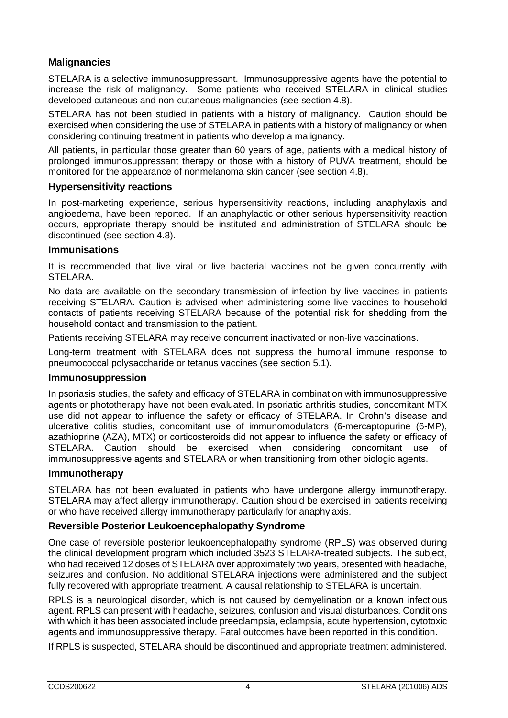# **Malignancies**

STELARA is a selective immunosuppressant. Immunosuppressive agents have the potential to increase the risk of malignancy. Some patients who received STELARA in clinical studies developed cutaneous and non-cutaneous malignancies (see section 4.8).

STELARA has not been studied in patients with a history of malignancy. Caution should be exercised when considering the use of STELARA in patients with a history of malignancy or when considering continuing treatment in patients who develop a malignancy.

All patients, in particular those greater than 60 years of age, patients with a medical history of prolonged immunosuppressant therapy or those with a history of PUVA treatment, should be monitored for the appearance of nonmelanoma skin cancer (see section 4.8).

# **Hypersensitivity reactions**

In post-marketing experience, serious hypersensitivity reactions, including anaphylaxis and angioedema, have been reported. If an anaphylactic or other serious hypersensitivity reaction occurs, appropriate therapy should be instituted and administration of STELARA should be discontinued (see section 4.8).

## **Immunisations**

It is recommended that live viral or live bacterial vaccines not be given concurrently with STELARA.

No data are available on the secondary transmission of infection by live vaccines in patients receiving STELARA. Caution is advised when administering some live vaccines to household contacts of patients receiving STELARA because of the potential risk for shedding from the household contact and transmission to the patient.

Patients receiving STELARA may receive concurrent inactivated or non-live vaccinations.

Long-term treatment with STELARA does not suppress the humoral immune response to pneumococcal polysaccharide or tetanus vaccines (see section 5.1).

# **Immunosuppression**

In psoriasis studies, the safety and efficacy of STELARA in combination with immunosuppressive agents or phototherapy have not been evaluated. In psoriatic arthritis studies, concomitant MTX use did not appear to influence the safety or efficacy of STELARA. In Crohn's disease and ulcerative colitis studies, concomitant use of immunomodulators (6-mercaptopurine (6-MP), azathioprine (AZA), MTX) or corticosteroids did not appear to influence the safety or efficacy of STELARA. Caution should be exercised when considering concomitant use of immunosuppressive agents and STELARA or when transitioning from other biologic agents.

#### **Immunotherapy**

STELARA has not been evaluated in patients who have undergone allergy immunotherapy. STELARA may affect allergy immunotherapy. Caution should be exercised in patients receiving or who have received allergy immunotherapy particularly for anaphylaxis.

# **Reversible Posterior Leukoencephalopathy Syndrome**

One case of reversible posterior leukoencephalopathy syndrome (RPLS) was observed during the clinical development program which included 3523 STELARA-treated subjects. The subject, who had received 12 doses of STELARA over approximately two years, presented with headache, seizures and confusion. No additional STELARA injections were administered and the subject fully recovered with appropriate treatment. A causal relationship to STELARA is uncertain.

RPLS is a neurological disorder, which is not caused by demyelination or a known infectious agent. RPLS can present with headache, seizures, confusion and visual disturbances. Conditions with which it has been associated include preeclampsia, eclampsia, acute hypertension, cytotoxic agents and immunosuppressive therapy. Fatal outcomes have been reported in this condition.

If RPLS is suspected, STELARA should be discontinued and appropriate treatment administered.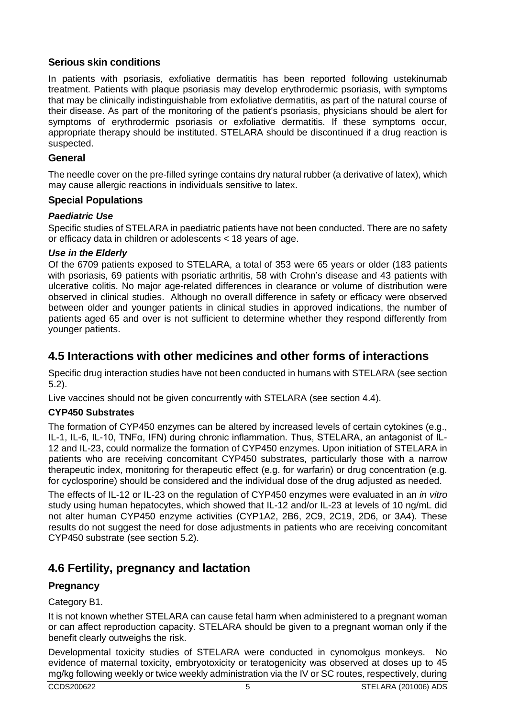# **Serious skin conditions**

In patients with psoriasis, exfoliative dermatitis has been reported following ustekinumab treatment. Patients with plaque psoriasis may develop erythrodermic psoriasis, with symptoms that may be clinically indistinguishable from exfoliative dermatitis, as part of the natural course of their disease. As part of the monitoring of the patient's psoriasis, physicians should be alert for symptoms of erythrodermic psoriasis or exfoliative dermatitis. If these symptoms occur, appropriate therapy should be instituted. STELARA should be discontinued if a drug reaction is suspected.

# **General**

The needle cover on the pre-filled syringe contains dry natural rubber (a derivative of latex), which may cause allergic reactions in individuals sensitive to latex.

# **Special Populations**

# *Paediatric Use*

Specific studies of STELARA in paediatric patients have not been conducted. There are no safety or efficacy data in children or adolescents < 18 years of age.

# *Use in the Elderly*

Of the 6709 patients exposed to STELARA, a total of 353 were 65 years or older (183 patients with psoriasis, 69 patients with psoriatic arthritis, 58 with Crohn's disease and 43 patients with ulcerative colitis. No major age-related differences in clearance or volume of distribution were observed in clinical studies. Although no overall difference in safety or efficacy were observed between older and younger patients in clinical studies in approved indications, the number of patients aged 65 and over is not sufficient to determine whether they respond differently from younger patients.

# **4.5 Interactions with other medicines and other forms of interactions**

Specific drug interaction studies have not been conducted in humans with STELARA (see section 5.2).

Live vaccines should not be given concurrently with STELARA (see section 4.4).

# **CYP450 Substrates**

The formation of CYP450 enzymes can be altered by increased levels of certain cytokines (e.g., IL-1, IL-6, IL-10, TNFα, IFN) during chronic inflammation. Thus, STELARA, an antagonist of IL-12 and IL-23, could normalize the formation of CYP450 enzymes. Upon initiation of STELARA in patients who are receiving concomitant CYP450 substrates, particularly those with a narrow therapeutic index, monitoring for therapeutic effect (e.g. for warfarin) or drug concentration (e.g. for cyclosporine) should be considered and the individual dose of the drug adjusted as needed.

The effects of IL-12 or IL-23 on the regulation of CYP450 enzymes were evaluated in an *in vitro* study using human hepatocytes, which showed that IL-12 and/or IL-23 at levels of 10 ng/mL did not alter human CYP450 enzyme activities (CYP1A2, 2B6, 2C9, 2C19, 2D6, or 3A4). These results do not suggest the need for dose adjustments in patients who are receiving concomitant CYP450 substrate (see section 5.2).

# **4.6 Fertility, pregnancy and lactation**

# **Pregnancy**

# Category B1.

It is not known whether STELARA can cause fetal harm when administered to a pregnant woman or can affect reproduction capacity. STELARA should be given to a pregnant woman only if the benefit clearly outweighs the risk.

Developmental toxicity studies of STELARA were conducted in cynomolgus monkeys. No evidence of maternal toxicity, embryotoxicity or teratogenicity was observed at doses up to 45 mg/kg following weekly or twice weekly administration via the IV or SC routes, respectively, during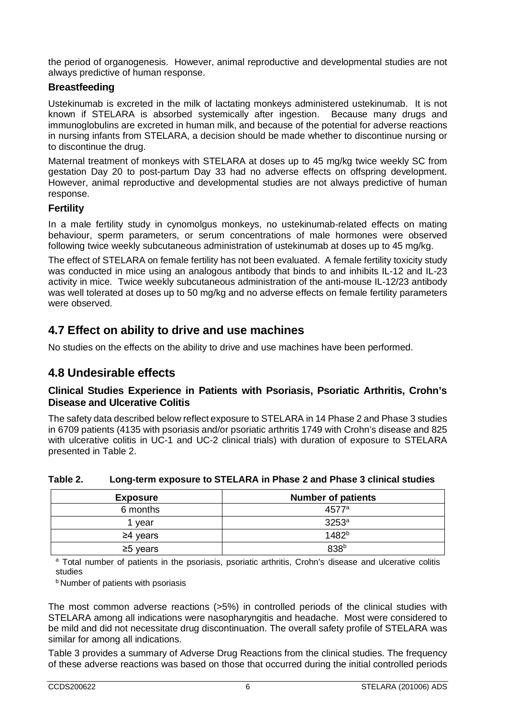the period of organogenesis. However, animal reproductive and developmental studies are not always predictive of human response.

# **Breastfeeding**

Ustekinumab is excreted in the milk of lactating monkeys administered ustekinumab. It is not known if STELARA is absorbed systemically after ingestion. Because many drugs and immunoglobulins are excreted in human milk, and because of the potential for adverse reactions in nursing infants from STELARA, a decision should be made whether to discontinue nursing or to discontinue the drug.

Maternal treatment of monkeys with STELARA at doses up to 45 mg/kg twice weekly SC from gestation Day 20 to post-partum Day 33 had no adverse effects on offspring development. However, animal reproductive and developmental studies are not always predictive of human response.

# **Fertility**

In a male fertility study in cynomolgus monkeys, no ustekinumab-related effects on mating behaviour, sperm parameters, or serum concentrations of male hormones were observed following twice weekly subcutaneous administration of ustekinumab at doses up to 45 mg/kg.

The effect of STELARA on female fertility has not been evaluated. A female fertility toxicity study was conducted in mice using an analogous antibody that binds to and inhibits IL-12 and IL-23 activity in mice. Twice weekly subcutaneous administration of the anti-mouse IL-12/23 antibody was well tolerated at doses up to 50 mg/kg and no adverse effects on female fertility parameters were observed.

# **4.7 Effect on ability to drive and use machines**

No studies on the effects on the ability to drive and use machines have been performed.

# **4.8 Undesirable effects**

# **Clinical Studies Experience in Patients with Psoriasis, Psoriatic Arthritis, Crohn's Disease and Ulcerative Colitis**

The safety data described below reflect exposure to STELARA in 14 Phase 2 and Phase 3 studies in 6709 patients (4135 with psoriasis and/or psoriatic arthritis 1749 with Crohn's disease and 825 with ulcerative colitis in UC-1 and UC-2 clinical trials) with duration of exposure to STELARA presented in Table 2.

# **Table 2. Long-term exposure to STELARA in Phase 2 and Phase 3 clinical studies**

| <b>Exposure</b> | <b>Number of patients</b> |
|-----------------|---------------------------|
| 6 months        | 4577 <sup>a</sup>         |
| vear            | $3253^a$                  |
| $\geq$ 4 years  | $1482^{b}$                |
| $\geq$ 5 years  | 838 <sup>b</sup>          |

<sup>a</sup> Total number of patients in the psoriasis, psoriatic arthritis, Crohn's disease and ulcerative colitis studies

**b Number of patients with psoriasis** 

The most common adverse reactions (>5%) in controlled periods of the clinical studies with STELARA among all indications were nasopharyngitis and headache. Most were considered to be mild and did not necessitate drug discontinuation. The overall safety profile of STELARA was similar for among all indications.

Table 3 provides a summary of Adverse Drug Reactions from the clinical studies. The frequency of these adverse reactions was based on those that occurred during the initial controlled periods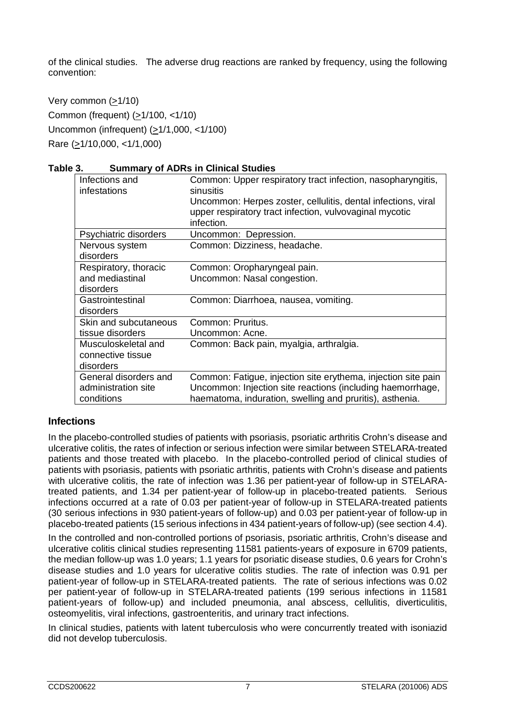of the clinical studies. The adverse drug reactions are ranked by frequency, using the following convention:

Very common (>1/10) Common (frequent) (>1/100, <1/10) Uncommon (infrequent)  $(≥1/1,000, <1/100)$ Rare (>1/10,000, <1/1,000)

#### **Table 3. Summary of ADRs in Clinical Studies**

| Infections and<br>infestations | Common: Upper respiratory tract infection, nasopharyngitis,<br>sinusitis                                                               |
|--------------------------------|----------------------------------------------------------------------------------------------------------------------------------------|
|                                | Uncommon: Herpes zoster, cellulitis, dental infections, viral<br>upper respiratory tract infection, vulvovaginal mycotic<br>infection. |
| Psychiatric disorders          | Uncommon: Depression.                                                                                                                  |
| Nervous system<br>disorders    | Common: Dizziness, headache.                                                                                                           |
| Respiratory, thoracic          | Common: Oropharyngeal pain.                                                                                                            |
| and mediastinal                | Uncommon: Nasal congestion.                                                                                                            |
| disorders                      |                                                                                                                                        |
| Gastrointestinal               | Common: Diarrhoea, nausea, vomiting.                                                                                                   |
| disorders                      |                                                                                                                                        |
| Skin and subcutaneous          | Common: Pruritus.                                                                                                                      |
| tissue disorders               | Uncommon: Acne.                                                                                                                        |
| Musculoskeletal and            | Common: Back pain, myalgia, arthralgia.                                                                                                |
| connective tissue              |                                                                                                                                        |
| disorders                      |                                                                                                                                        |
| General disorders and          | Common: Fatigue, injection site erythema, injection site pain                                                                          |
| administration site            | Uncommon: Injection site reactions (including haemorrhage,                                                                             |
| conditions                     | haematoma, induration, swelling and pruritis), asthenia.                                                                               |

# **Infections**

In the placebo-controlled studies of patients with psoriasis, psoriatic arthritis Crohn's disease and ulcerative colitis, the rates of infection or serious infection were similar between STELARA-treated patients and those treated with placebo. In the placebo-controlled period of clinical studies of patients with psoriasis, patients with psoriatic arthritis, patients with Crohn's disease and patients with ulcerative colitis, the rate of infection was 1.36 per patient-year of follow-up in STELARAtreated patients, and 1.34 per patient-year of follow-up in placebo-treated patients. Serious infections occurred at a rate of 0.03 per patient-year of follow-up in STELARA-treated patients (30 serious infections in 930 patient-years of follow-up) and 0.03 per patient-year of follow-up in placebo-treated patients (15 serious infections in 434 patient-years of follow-up) (see section 4.4).

In the controlled and non-controlled portions of psoriasis, psoriatic arthritis, Crohn's disease and ulcerative colitis clinical studies representing 11581 patients-years of exposure in 6709 patients, the median follow-up was 1.0 years; 1.1 years for psoriatic disease studies, 0.6 years for Crohn's disease studies and 1.0 years for ulcerative colitis studies. The rate of infection was 0.91 per patient-year of follow-up in STELARA-treated patients. The rate of serious infections was 0.02 per patient-year of follow-up in STELARA-treated patients (199 serious infections in 11581 patient-years of follow-up) and included pneumonia, anal abscess, cellulitis, diverticulitis, osteomyelitis, viral infections, gastroenteritis, and urinary tract infections.

In clinical studies, patients with latent tuberculosis who were concurrently treated with isoniazid did not develop tuberculosis.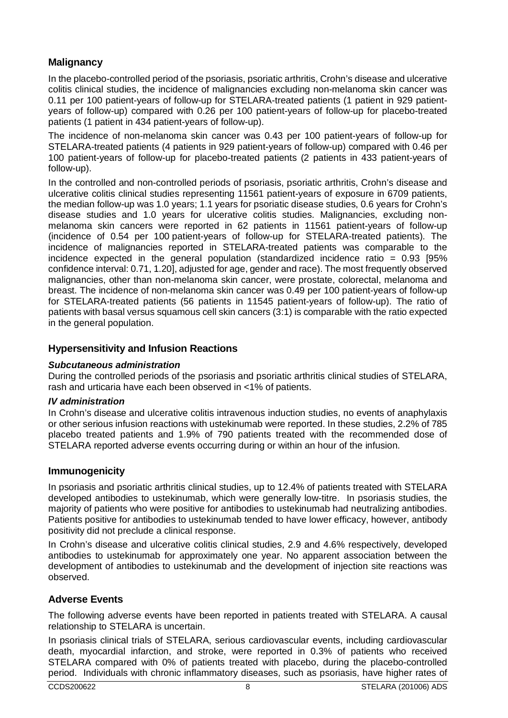# **Malignancy**

In the placebo-controlled period of the psoriasis, psoriatic arthritis, Crohn's disease and ulcerative colitis clinical studies, the incidence of malignancies excluding non-melanoma skin cancer was 0.11 per 100 patient-years of follow-up for STELARA-treated patients (1 patient in 929 patientyears of follow-up) compared with 0.26 per 100 patient-years of follow-up for placebo-treated patients (1 patient in 434 patient-years of follow-up).

The incidence of non-melanoma skin cancer was 0.43 per 100 patient-years of follow-up for STELARA-treated patients (4 patients in 929 patient-years of follow-up) compared with 0.46 per 100 patient-years of follow-up for placebo-treated patients (2 patients in 433 patient-years of follow-up).

In the controlled and non-controlled periods of psoriasis, psoriatic arthritis, Crohn's disease and ulcerative colitis clinical studies representing 11561 patient-years of exposure in 6709 patients, the median follow-up was 1.0 years; 1.1 years for psoriatic disease studies, 0.6 years for Crohn's disease studies and 1.0 years for ulcerative colitis studies. Malignancies, excluding nonmelanoma skin cancers were reported in 62 patients in 11561 patient-years of follow-up (incidence of 0.54 per 100 patient-years of follow-up for STELARA-treated patients). The incidence of malignancies reported in STELARA-treated patients was comparable to the incidence expected in the general population (standardized incidence ratio  $= 0.93$  [95%] confidence interval: 0.71, 1.20], adjusted for age, gender and race). The most frequently observed malignancies, other than non-melanoma skin cancer, were prostate, colorectal, melanoma and breast. The incidence of non-melanoma skin cancer was 0.49 per 100 patient-years of follow-up for STELARA-treated patients (56 patients in 11545 patient-years of follow-up). The ratio of patients with basal versus squamous cell skin cancers (3:1) is comparable with the ratio expected in the general population.

# **Hypersensitivity and Infusion Reactions**

# *Subcutaneous administration*

During the controlled periods of the psoriasis and psoriatic arthritis clinical studies of STELARA, rash and urticaria have each been observed in <1% of patients.

# *IV administration*

In Crohn's disease and ulcerative colitis intravenous induction studies, no events of anaphylaxis or other serious infusion reactions with ustekinumab were reported. In these studies, 2.2% of 785 placebo treated patients and 1.9% of 790 patients treated with the recommended dose of STELARA reported adverse events occurring during or within an hour of the infusion.

# **Immunogenicity**

In psoriasis and psoriatic arthritis clinical studies, up to 12.4% of patients treated with STELARA developed antibodies to ustekinumab, which were generally low-titre. In psoriasis studies, the majority of patients who were positive for antibodies to ustekinumab had neutralizing antibodies. Patients positive for antibodies to ustekinumab tended to have lower efficacy, however, antibody positivity did not preclude a clinical response.

In Crohn's disease and ulcerative colitis clinical studies, 2.9 and 4.6% respectively, developed antibodies to ustekinumab for approximately one year. No apparent association between the development of antibodies to ustekinumab and the development of injection site reactions was observed.

# **Adverse Events**

The following adverse events have been reported in patients treated with STELARA. A causal relationship to STELARA is uncertain.

In psoriasis clinical trials of STELARA, serious cardiovascular events, including cardiovascular death, myocardial infarction, and stroke, were reported in 0.3% of patients who received STELARA compared with 0% of patients treated with placebo, during the placebo-controlled period. Individuals with chronic inflammatory diseases, such as psoriasis, have higher rates of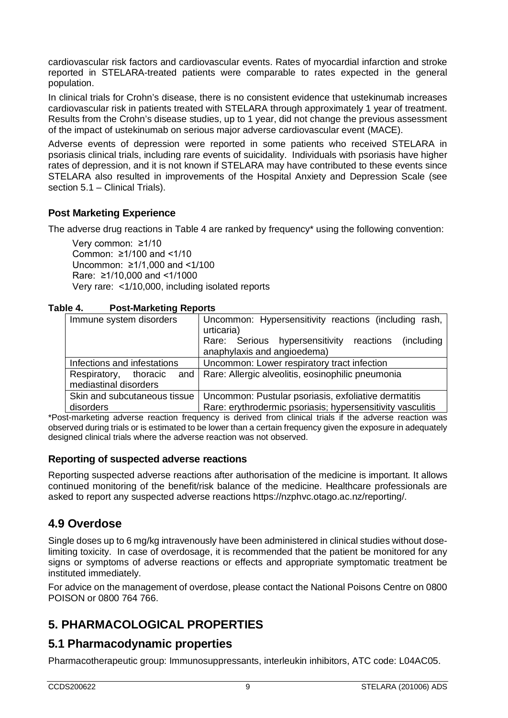cardiovascular risk factors and cardiovascular events. Rates of myocardial infarction and stroke reported in STELARA-treated patients were comparable to rates expected in the general population.

In clinical trials for Crohn's disease, there is no consistent evidence that ustekinumab increases cardiovascular risk in patients treated with STELARA through approximately 1 year of treatment. Results from the Crohn's disease studies, up to 1 year, did not change the previous assessment of the impact of ustekinumab on serious major adverse cardiovascular event (MACE).

Adverse events of depression were reported in some patients who received STELARA in psoriasis clinical trials, including rare events of suicidality. Individuals with psoriasis have higher rates of depression, and it is not known if STELARA may have contributed to these events since STELARA also resulted in improvements of the Hospital Anxiety and Depression Scale (see section 5.1 – Clinical Trials).

# **Post Marketing Experience**

The adverse drug reactions in Table 4 are ranked by frequency\* using the following convention:

Very common: ≥1/10 Common: ≥1/100 and <1/10 Uncommon: ≥1/1,000 and <1/100 Rare: ≥1/10,000 and <1/1000 Very rare: <1/10,000, including isolated reports

| Table 4. | <b>Post-Marketing Reports</b> |
|----------|-------------------------------|
|----------|-------------------------------|

| Immune system disorders                               | Uncommon: Hypersensitivity reactions (including rash,<br>urticaria)<br>Rare: Serious hypersensitivity<br>reactions<br>(including)<br>anaphylaxis and angioedema) |  |  |  |  |
|-------------------------------------------------------|------------------------------------------------------------------------------------------------------------------------------------------------------------------|--|--|--|--|
| Infections and infestations                           | Uncommon: Lower respiratory tract infection                                                                                                                      |  |  |  |  |
| Respiratory, thoracic<br>and<br>mediastinal disorders | Rare: Allergic alveolitis, eosinophilic pneumonia                                                                                                                |  |  |  |  |
| Skin and subcutaneous tissue<br>disorders             | Uncommon: Pustular psoriasis, exfoliative dermatitis<br>Rare: erythrodermic psoriasis; hypersensitivity vasculitis                                               |  |  |  |  |

\*Post-marketing adverse reaction frequency is derived from clinical trials if the adverse reaction was observed during trials or is estimated to be lower than a certain frequency given the exposure in adequately designed clinical trials where the adverse reaction was not observed.

# **Reporting of suspected adverse reactions**

Reporting suspected adverse reactions after authorisation of the medicine is important. It allows continued monitoring of the benefit/risk balance of the medicine. Healthcare professionals are asked to report any suspected adverse reactions [https://nzphvc.otago.ac.nz/reporting/.](https://nzphvc.otago.ac.nz/reporting/)

# **4.9 Overdose**

Single doses up to 6 mg/kg intravenously have been administered in clinical studies without doselimiting toxicity. In case of overdosage, it is recommended that the patient be monitored for any signs or symptoms of adverse reactions or effects and appropriate symptomatic treatment be instituted immediately.

For advice on the management of overdose, please contact the National Poisons Centre on 0800 POISON or 0800 764 766.

# **5. PHARMACOLOGICAL PROPERTIES**

# **5.1 Pharmacodynamic properties**

Pharmacotherapeutic group: Immunosuppressants, interleukin inhibitors, ATC code: L04AC05.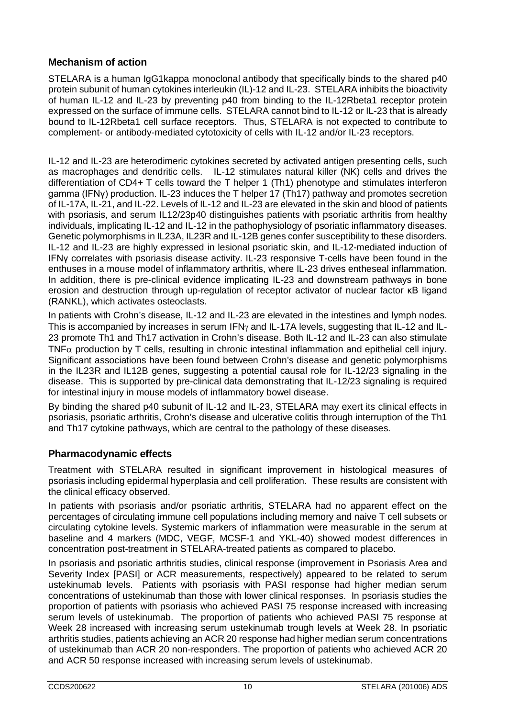# **Mechanism of action**

STELARA is a human IgG1kappa monoclonal antibody that specifically binds to the shared p40 protein subunit of human cytokines interleukin (IL)-12 and IL-23. STELARA inhibits the bioactivity of human IL-12 and IL-23 by preventing p40 from binding to the IL-12Rbeta1 receptor protein expressed on the surface of immune cells. STELARA cannot bind to IL-12 or IL-23 that is already bound to IL-12Rbeta1 cell surface receptors. Thus, STELARA is not expected to contribute to complement- or antibody-mediated cytotoxicity of cells with IL-12 and/or IL-23 receptors.

IL-12 and IL-23 are heterodimeric cytokines secreted by activated antigen presenting cells, such as macrophages and dendritic cells. IL-12 stimulates natural killer (NK) cells and drives the differentiation of CD4+ T cells toward the T helper 1 (Th1) phenotype and stimulates interferon gamma (IFNγ) production. IL-23 induces the T helper 17 (Th17) pathway and promotes secretion of IL-17A, IL-21, and IL-22. Levels of IL-12 and IL-23 are elevated in the skin and blood of patients with psoriasis, and serum IL12/23p40 distinguishes patients with psoriatic arthritis from healthy individuals, implicating IL-12 and IL-12 in the pathophysiology of psoriatic inflammatory diseases. Genetic polymorphisms in IL23A, IL23R and IL-12B genes confer susceptibility to these disorders. IL-12 and IL-23 are highly expressed in lesional psoriatic skin, and IL-12-mediated induction of IFNγ correlates with psoriasis disease activity. IL-23 responsive T-cells have been found in the enthuses in a mouse model of inflammatory arthritis, where IL-23 drives entheseal inflammation. In addition, there is pre-clinical evidence implicating IL-23 and downstream pathways in bone erosion and destruction through up-regulation of receptor activator of nuclear factor κB ligand (RANKL), which activates osteoclasts.

In patients with Crohn's disease, IL-12 and IL-23 are elevated in the intestines and lymph nodes. This is accompanied by increases in serum IFNγ and IL-17A levels, suggesting that IL-12 and IL-23 promote Th1 and Th17 activation in Crohn's disease. Both IL-12 and IL-23 can also stimulate TNF $\alpha$  production by T cells, resulting in chronic intestinal inflammation and epithelial cell injury. Significant associations have been found between Crohn's disease and genetic polymorphisms in the IL23R and IL12B genes, suggesting a potential causal role for IL-12/23 signaling in the disease. This is supported by pre-clinical data demonstrating that IL-12/23 signaling is required for intestinal injury in mouse models of inflammatory bowel disease.

By binding the shared p40 subunit of IL-12 and IL-23, STELARA may exert its clinical effects in psoriasis, psoriatic arthritis, Crohn's disease and ulcerative colitis through interruption of the Th1 and Th17 cytokine pathways, which are central to the pathology of these diseases.

# **Pharmacodynamic effects**

Treatment with STELARA resulted in significant improvement in histological measures of psoriasis including epidermal hyperplasia and cell proliferation. These results are consistent with the clinical efficacy observed.

In patients with psoriasis and/or psoriatic arthritis, STELARA had no apparent effect on the percentages of circulating immune cell populations including memory and naive T cell subsets or circulating cytokine levels. Systemic markers of inflammation were measurable in the serum at baseline and 4 markers (MDC, VEGF, MCSF-1 and YKL-40) showed modest differences in concentration post-treatment in STELARA-treated patients as compared to placebo.

In psoriasis and psoriatic arthritis studies, clinical response (improvement in Psoriasis Area and Severity Index [PASI] or ACR measurements, respectively) appeared to be related to serum ustekinumab levels. Patients with psoriasis with PASI response had higher median serum concentrations of ustekinumab than those with lower clinical responses. In psoriasis studies the proportion of patients with psoriasis who achieved PASI 75 response increased with increasing serum levels of ustekinumab. The proportion of patients who achieved PASI 75 response at Week 28 increased with increasing serum ustekinumab trough levels at Week 28. In psoriatic arthritis studies, patients achieving an ACR 20 response had higher median serum concentrations of ustekinumab than ACR 20 non-responders. The proportion of patients who achieved ACR 20 and ACR 50 response increased with increasing serum levels of ustekinumab.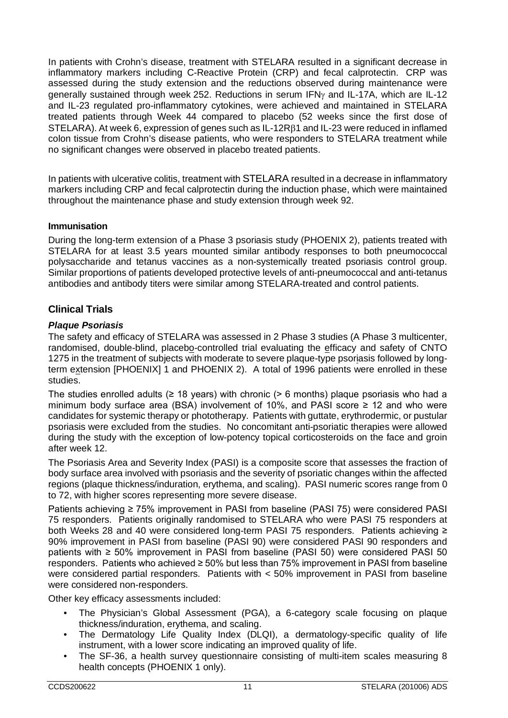In patients with Crohn's disease, treatment with STELARA resulted in a significant decrease in inflammatory markers including C-Reactive Protein (CRP) and fecal calprotectin. CRP was assessed during the study extension and the reductions observed during maintenance were generally sustained through week 252. Reductions in serum IFNγ and IL-17A, which are IL-12 and IL-23 regulated pro-inflammatory cytokines, were achieved and maintained in STELARA treated patients through Week 44 compared to placebo (52 weeks since the first dose of STELARA). At week 6, expression of genes such as IL-12Rβ1 and IL-23 were reduced in inflamed colon tissue from Crohn's disease patients, who were responders to STELARA treatment while no significant changes were observed in placebo treated patients.

In patients with ulcerative colitis, treatment with STELARA resulted in a decrease in inflammatory markers including CRP and fecal calprotectin during the induction phase, which were maintained throughout the maintenance phase and study extension through week 92.

# **Immunisation**

During the long-term extension of a Phase 3 psoriasis study (PHOENIX 2), patients treated with STELARA for at least 3.5 years mounted similar antibody responses to both pneumococcal polysaccharide and tetanus vaccines as a non-systemically treated psoriasis control group. Similar proportions of patients developed protective levels of anti-pneumococcal and anti-tetanus antibodies and antibody titers were similar among STELARA-treated and control patients.

# **Clinical Trials**

## *Plaque Psoriasis*

The safety and efficacy of STELARA was assessed in 2 Phase 3 studies (A Phase 3 multicenter, randomised, double-blind, placebo-controlled trial evaluating the efficacy and safety of CNTO 1275 in the treatment of subjects with moderate to severe plaque-type psoriasis followed by longterm extension [PHOENIX] 1 and PHOENIX 2). A total of 1996 patients were enrolled in these studies.

The studies enrolled adults ( $\geq 18$  years) with chronic ( $> 6$  months) plaque psoriasis who had a minimum body surface area (BSA) involvement of 10%, and PASI score  $\geq$  12 and who were candidates for systemic therapy or phototherapy. Patients with guttate, erythrodermic, or pustular psoriasis were excluded from the studies. No concomitant anti-psoriatic therapies were allowed during the study with the exception of low-potency topical corticosteroids on the face and groin after week 12.

The Psoriasis Area and Severity Index (PASI) is a composite score that assesses the fraction of body surface area involved with psoriasis and the severity of psoriatic changes within the affected regions (plaque thickness/induration, erythema, and scaling). PASI numeric scores range from 0 to 72, with higher scores representing more severe disease.

Patients achieving ≥ 75% improvement in PASI from baseline (PASI 75) were considered PASI 75 responders. Patients originally randomised to STELARA who were PASI 75 responders at both Weeks 28 and 40 were considered long-term PASI 75 responders. Patients achieving ≥ 90% improvement in PASI from baseline (PASI 90) were considered PASI 90 responders and patients with ≥ 50% improvement in PASI from baseline (PASI 50) were considered PASI 50 responders. Patients who achieved ≥ 50% but less than 75% improvement in PASI from baseline were considered partial responders. Patients with < 50% improvement in PASI from baseline were considered non-responders.

Other key efficacy assessments included:

- The Physician's Global Assessment (PGA), a 6-category scale focusing on plaque thickness/induration, erythema, and scaling.
- The Dermatology Life Quality Index (DLQI), a dermatology-specific quality of life instrument, with a lower score indicating an improved quality of life.
- The SF-36, a health survey questionnaire consisting of multi-item scales measuring 8 health concepts (PHOENIX 1 only).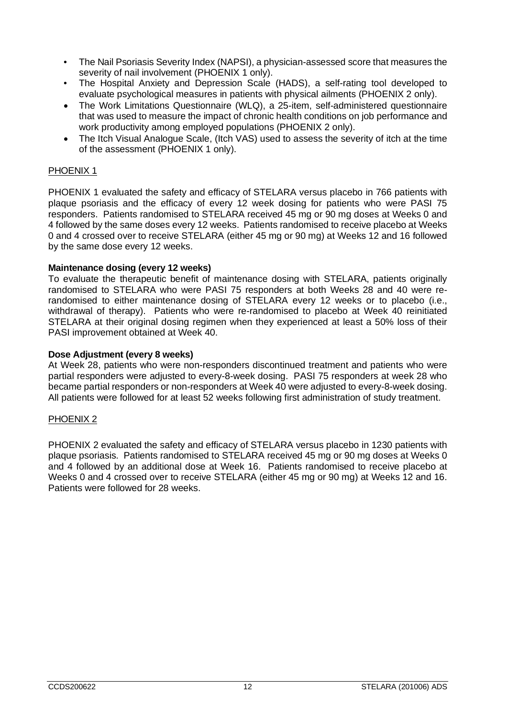- The Nail Psoriasis Severity Index (NAPSI), a physician-assessed score that measures the severity of nail involvement (PHOENIX 1 only).
- The Hospital Anxiety and Depression Scale (HADS), a self-rating tool developed to evaluate psychological measures in patients with physical ailments (PHOENIX 2 only).
- The Work Limitations Questionnaire (WLQ), a 25-item, self-administered questionnaire that was used to measure the impact of chronic health conditions on job performance and work productivity among employed populations (PHOENIX 2 only).
- The Itch Visual Analogue Scale, (Itch VAS) used to assess the severity of itch at the time of the assessment (PHOENIX 1 only).

## PHOENIX 1

PHOENIX 1 evaluated the safety and efficacy of STELARA versus placebo in 766 patients with plaque psoriasis and the efficacy of every 12 week dosing for patients who were PASI 75 responders. Patients randomised to STELARA received 45 mg or 90 mg doses at Weeks 0 and 4 followed by the same doses every 12 weeks. Patients randomised to receive placebo at Weeks 0 and 4 crossed over to receive STELARA (either 45 mg or 90 mg) at Weeks 12 and 16 followed by the same dose every 12 weeks.

#### **Maintenance dosing (every 12 weeks)**

To evaluate the therapeutic benefit of maintenance dosing with STELARA, patients originally randomised to STELARA who were PASI 75 responders at both Weeks 28 and 40 were rerandomised to either maintenance dosing of STELARA every 12 weeks or to placebo (i.e., withdrawal of therapy). Patients who were re-randomised to placebo at Week 40 reinitiated STELARA at their original dosing regimen when they experienced at least a 50% loss of their PASI improvement obtained at Week 40.

#### **Dose Adjustment (every 8 weeks)**

At Week 28, patients who were non-responders discontinued treatment and patients who were partial responders were adjusted to every-8-week dosing. PASI 75 responders at week 28 who became partial responders or non-responders at Week 40 were adjusted to every-8-week dosing. All patients were followed for at least 52 weeks following first administration of study treatment.

#### PHOENIX<sub>2</sub>

PHOENIX 2 evaluated the safety and efficacy of STELARA versus placebo in 1230 patients with plaque psoriasis. Patients randomised to STELARA received 45 mg or 90 mg doses at Weeks 0 and 4 followed by an additional dose at Week 16. Patients randomised to receive placebo at Weeks 0 and 4 crossed over to receive STELARA (either 45 mg or 90 mg) at Weeks 12 and 16. Patients were followed for 28 weeks.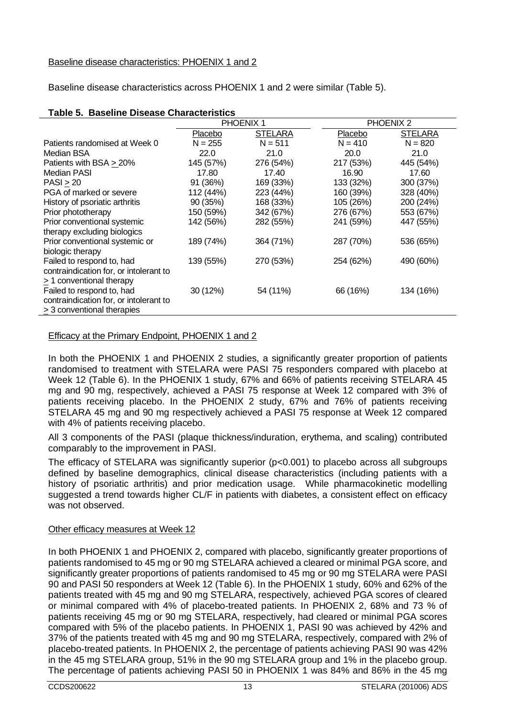#### Baseline disease characteristics: PHOENIX 1 and 2

Baseline disease characteristics across PHOENIX 1 and 2 were similar (Table 5).

|                                        |           | PHOENIX <sub>1</sub> |           | PHOENIX <sub>2</sub> |
|----------------------------------------|-----------|----------------------|-----------|----------------------|
|                                        | Placebo   | <b>STELARA</b>       | Placebo   | <b>STELARA</b>       |
| Patients randomised at Week 0          | $N = 255$ | $N = 511$            | $N = 410$ | $N = 820$            |
| Median BSA                             | 22.0      | 21.0                 | 20.0      | 21.0                 |
| Patients with BSA > 20%                | 145 (57%) | 276 (54%)            | 217 (53%) | 445 (54%)            |
| Median PASI                            | 17.80     | 17.40                | 16.90     | 17.60                |
| PASI > 20                              | 91 (36%)  | 169 (33%)            | 133 (32%) | 300 (37%)            |
| PGA of marked or severe                | 112 (44%) | 223 (44%)            | 160 (39%) | 328 (40%)            |
| History of psoriatic arthritis         | 90 (35%)  | 168 (33%)            | 105 (26%) | 200 (24%)            |
| Prior phototherapy                     | 150 (59%) | 342 (67%)            | 276 (67%) | 553 (67%)            |
| Prior conventional systemic            | 142 (56%) | 282 (55%)            | 241 (59%) | 447 (55%)            |
| therapy excluding biologics            |           |                      |           |                      |
| Prior conventional systemic or         | 189 (74%) | 364 (71%)            | 287 (70%) | 536 (65%)            |
| biologic therapy                       |           |                      |           |                      |
| Failed to respond to, had              | 139 (55%) | 270 (53%)            | 254 (62%) | 490 (60%)            |
| contraindication for, or intolerant to |           |                      |           |                      |
| > 1 conventional therapy               |           |                      |           |                      |
| Failed to respond to, had              | 30 (12%)  | 54 (11%)             | 66 (16%)  | 134 (16%)            |
| contraindication for, or intolerant to |           |                      |           |                      |
| $\geq$ 3 conventional therapies        |           |                      |           |                      |

#### **Table 5. Baseline Disease Characteristics**

## Efficacy at the Primary Endpoint, PHOENIX 1 and 2

In both the PHOENIX 1 and PHOENIX 2 studies, a significantly greater proportion of patients randomised to treatment with STELARA were PASI 75 responders compared with placebo at Week 12 (Table 6). In the PHOENIX 1 study, 67% and 66% of patients receiving STELARA 45 mg and 90 mg, respectively, achieved a PASI 75 response at Week 12 compared with 3% of patients receiving placebo. In the PHOENIX 2 study, 67% and 76% of patients receiving STELARA 45 mg and 90 mg respectively achieved a PASI 75 response at Week 12 compared with 4% of patients receiving placebo.

All 3 components of the PASI (plaque thickness/induration, erythema, and scaling) contributed comparably to the improvement in PASI.

The efficacy of STELARA was significantly superior  $(p<0.001)$  to placebo across all subgroups defined by baseline demographics, clinical disease characteristics (including patients with a history of psoriatic arthritis) and prior medication usage. While pharmacokinetic modelling suggested a trend towards higher CL/F in patients with diabetes, a consistent effect on efficacy was not observed.

#### Other efficacy measures at Week 12

In both PHOENIX 1 and PHOENIX 2, compared with placebo, significantly greater proportions of patients randomised to 45 mg or 90 mg STELARA achieved a cleared or minimal PGA score, and significantly greater proportions of patients randomised to 45 mg or 90 mg STELARA were PASI 90 and PASI 50 responders at Week 12 (Table 6). In the PHOENIX 1 study, 60% and 62% of the patients treated with 45 mg and 90 mg STELARA, respectively, achieved PGA scores of cleared or minimal compared with 4% of placebo-treated patients. In PHOENIX 2, 68% and 73 % of patients receiving 45 mg or 90 mg STELARA, respectively, had cleared or minimal PGA scores compared with 5% of the placebo patients. In PHOENIX 1, PASI 90 was achieved by 42% and 37% of the patients treated with 45 mg and 90 mg STELARA, respectively, compared with 2% of placebo-treated patients. In PHOENIX 2, the percentage of patients achieving PASI 90 was 42% in the 45 mg STELARA group, 51% in the 90 mg STELARA group and 1% in the placebo group. The percentage of patients achieving PASI 50 in PHOENIX 1 was 84% and 86% in the 45 mg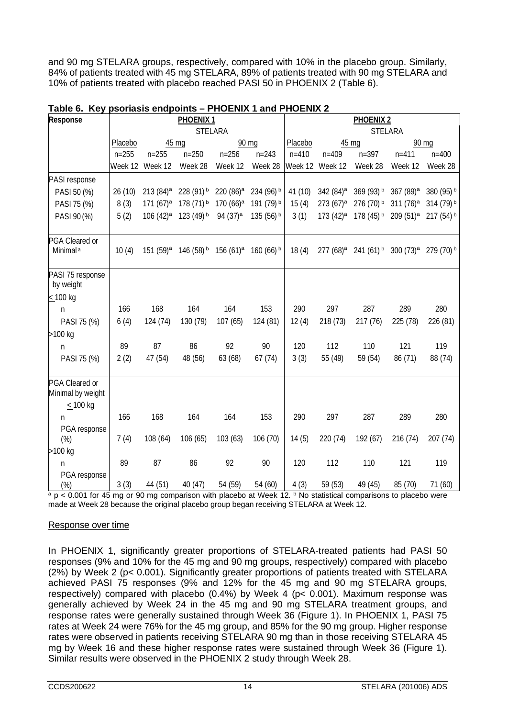and 90 mg STELARA groups, respectively, compared with 10% in the placebo group. Similarly, 84% of patients treated with 45 mg STELARA, 89% of patients treated with 90 mg STELARA and 10% of patients treated with placebo reached PASI 50 in PHOENIX 2 (Table 6).

| Response                                             | PHOENIX <sub>1</sub><br>PHOENIX <sub>2</sub> |                        |                                                                                         |                       |            |           |                         |                                  |                                   |             |
|------------------------------------------------------|----------------------------------------------|------------------------|-----------------------------------------------------------------------------------------|-----------------------|------------|-----------|-------------------------|----------------------------------|-----------------------------------|-------------|
|                                                      |                                              |                        |                                                                                         | <b>STELARA</b>        |            |           |                         | STELARA                          |                                   |             |
|                                                      | Placebo                                      |                        | 45 mg                                                                                   |                       | 90 mg      | Placebo   |                         | 45 mg                            |                                   | 90 mg       |
|                                                      | $n = 255$                                    | $n = 255$              | $n = 250$                                                                               | $n = 256$             | $n = 243$  | $n = 410$ | $n = 409$               | $n = 397$                        | $n = 411$                         | $n = 400$   |
|                                                      |                                              | Week 12 Week 12        | Week 28                                                                                 | Week 12               | Week 28    |           | Week 12 Week 12         | Week 28                          | Week 12                           | Week 28     |
| PASI response                                        |                                              |                        |                                                                                         |                       |            |           |                         |                                  |                                   |             |
| PASI 50 (%)                                          | 26 (10)                                      | $213(84)$ <sup>a</sup> | 228 (91) b                                                                              | 220 (86) <sup>a</sup> | 234 (96) b | 41 (10)   | 342 (84) <sup>a</sup>   | 369 (93) b                       | 367 (89) <sup>a</sup>             | 380 (95) b  |
| PASI 75 (%)                                          | 8(3)                                         | $171 (67)^a$           | 178 (71) b 170 (66) <sup>a</sup>                                                        |                       | 191 (79) b | 15(4)     | $273(67)$ <sup>a</sup>  | 276 (70) b                       | $311 (76)^a$                      | 314 (79) b  |
| PASI 90 (%)                                          | 5(2)                                         | $106(42)$ <sup>a</sup> | 123 (49) b                                                                              | 94 (37) <sup>a</sup>  | 135 (56) b | 3(1)      | $173 (42)$ <sup>a</sup> | 178 (45) b 209 (51) <sup>a</sup> |                                   | 217 (54) b  |
| PGA Cleared or<br>Minimal <sup>a</sup>               | 10(4)                                        |                        | 151 (59) <sup>a</sup> 146 (58) <sup>b</sup> 156 (61) <sup>a</sup> 160 (66) <sup>b</sup> |                       |            | 18(4)     | $277(68)^a$             |                                  | $241(61)$ b 300 (73) <sup>a</sup> | $279(70)$ b |
| PASI 75 response<br>by weight                        |                                              |                        |                                                                                         |                       |            |           |                         |                                  |                                   |             |
| < 100 kg                                             |                                              |                        |                                                                                         |                       |            |           |                         |                                  |                                   |             |
| n                                                    | 166                                          | 168                    | 164                                                                                     | 164                   | 153        | 290       | 297                     | 287                              | 289                               | 280         |
| PASI 75 (%)                                          | 6(4)                                         | 124 (74)               | 130 (79)                                                                                | 107(65)               | 124 (81)   | 12(4)     | 218 (73)                | 217 (76)                         | 225 (78)                          | 226 (81)    |
| >100 kg                                              |                                              |                        |                                                                                         |                       |            |           |                         |                                  |                                   |             |
| n                                                    | 89                                           | 87                     | 86                                                                                      | 92                    | 90         | 120       | 112                     | 110                              | 121                               | 119         |
| PASI 75 (%)                                          | 2(2)                                         | 47 (54)                | 48 (56)                                                                                 | 63 (68)               | 67(74)     | 3(3)      | 55 (49)                 | 59 (54)                          | 86 (71)                           | 88 (74)     |
| PGA Cleared or<br>Minimal by weight<br>$\leq$ 100 kg |                                              |                        |                                                                                         |                       |            |           |                         |                                  |                                   |             |
| n                                                    | 166                                          | 168                    | 164                                                                                     | 164                   | 153        | 290       | 297                     | 287                              | 289                               | 280         |
| PGA response<br>(%)                                  | 7(4)                                         | 108 (64)               | 106 (65)                                                                                | 103(63)               | 106 (70)   | 14(5)     | 220 (74)                | 192 (67)                         | 216 (74)                          | 207 (74)    |
| >100 kg                                              |                                              |                        |                                                                                         |                       |            |           |                         |                                  |                                   |             |
| n                                                    | 89                                           | 87                     | 86                                                                                      | 92                    | 90         | 120       | 112                     | 110                              | 121                               | 119         |
| PGA response<br>$(\%)$                               | 3(3)                                         | 44 (51)                | 40(47)                                                                                  | 54 (59)               | 54 (60)    | 4(3)      | 59 (53)                 | 49 (45)                          | 85 (70)                           | 71 (60)     |

## **Table 6. Key psoriasis endpoints – PHOENIX 1 and PHOENIX 2**

 $a$  p < 0.001 for 45 mg or 90 mg comparison with placebo at Week 12. b No statistical comparisons to placebo were made at Week 28 because the original placebo group began receiving STELARA at Week 12.

#### Response over time

In PHOENIX 1, significantly greater proportions of STELARA-treated patients had PASI 50 responses (9% and 10% for the 45 mg and 90 mg groups, respectively) compared with placebo (2%) by Week 2 (p< 0.001). Significantly greater proportions of patients treated with STELARA achieved PASI 75 responses (9% and 12% for the 45 mg and 90 mg STELARA groups, respectively) compared with placebo (0.4%) by Week 4 (p< 0.001). Maximum response was generally achieved by Week 24 in the 45 mg and 90 mg STELARA treatment groups, and response rates were generally sustained through Week 36 (Figure 1). In PHOENIX 1, PASI 75 rates at Week 24 were 76% for the 45 mg group, and 85% for the 90 mg group. Higher response rates were observed in patients receiving STELARA 90 mg than in those receiving STELARA 45 mg by Week 16 and these higher response rates were sustained through Week 36 (Figure 1). Similar results were observed in the PHOENIX 2 study through Week 28.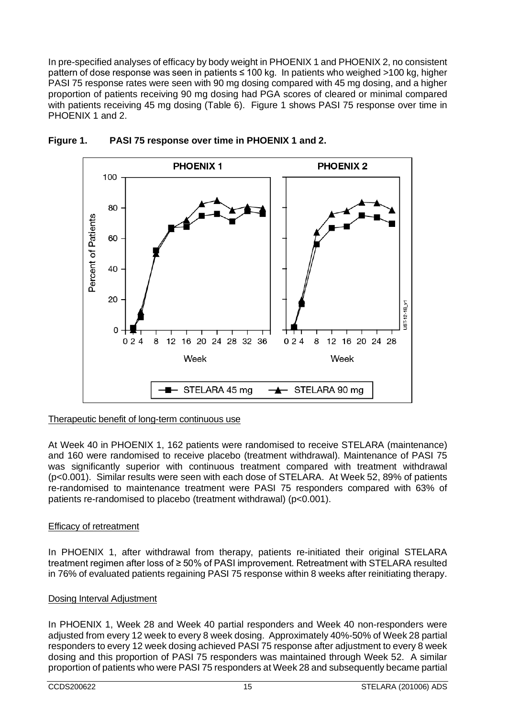In pre-specified analyses of efficacy by body weight in PHOENIX 1 and PHOENIX 2, no consistent pattern of dose response was seen in patients ≤ 100 kg. In patients who weighed >100 kg, higher PASI 75 response rates were seen with 90 mg dosing compared with 45 mg dosing, and a higher proportion of patients receiving 90 mg dosing had PGA scores of cleared or minimal compared with patients receiving 45 mg dosing (Table 6). Figure 1 shows PASI 75 response over time in PHOENIX 1 and 2.



# **Figure 1. PASI 75 response over time in PHOENIX 1 and 2.**

# Therapeutic benefit of long-term continuous use

At Week 40 in PHOENIX 1, 162 patients were randomised to receive STELARA (maintenance) and 160 were randomised to receive placebo (treatment withdrawal). Maintenance of PASI 75 was significantly superior with continuous treatment compared with treatment withdrawal (p<0.001). Similar results were seen with each dose of STELARA. At Week 52, 89% of patients re-randomised to maintenance treatment were PASI 75 responders compared with 63% of patients re-randomised to placebo (treatment withdrawal) (p<0.001).

# Efficacy of retreatment

In PHOENIX 1, after withdrawal from therapy, patients re-initiated their original STELARA treatment regimen after loss of ≥ 50% of PASI improvement. Retreatment with STELARA resulted in 76% of evaluated patients regaining PASI 75 response within 8 weeks after reinitiating therapy.

#### Dosing Interval Adjustment

In PHOENIX 1, Week 28 and Week 40 partial responders and Week 40 non-responders were adjusted from every 12 week to every 8 week dosing. Approximately 40%-50% of Week 28 partial responders to every 12 week dosing achieved PASI 75 response after adjustment to every 8 week dosing and this proportion of PASI 75 responders was maintained through Week 52. A similar proportion of patients who were PASI 75 responders at Week 28 and subsequently became partial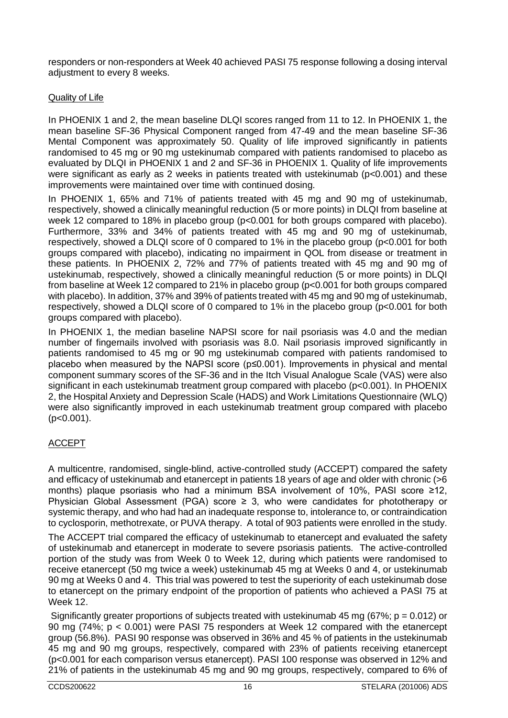responders or non-responders at Week 40 achieved PASI 75 response following a dosing interval adjustment to every 8 weeks.

#### Quality of Life

In PHOENIX 1 and 2, the mean baseline DLQI scores ranged from 11 to 12. In PHOENIX 1, the mean baseline SF-36 Physical Component ranged from 47-49 and the mean baseline SF-36 Mental Component was approximately 50. Quality of life improved significantly in patients randomised to 45 mg or 90 mg ustekinumab compared with patients randomised to placebo as evaluated by DLQI in PHOENIX 1 and 2 and SF-36 in PHOENIX 1. Quality of life improvements were significant as early as 2 weeks in patients treated with ustekinumab (p<0.001) and these improvements were maintained over time with continued dosing.

In PHOENIX 1, 65% and 71% of patients treated with 45 mg and 90 mg of ustekinumab, respectively, showed a clinically meaningful reduction (5 or more points) in DLQI from baseline at week 12 compared to 18% in placebo group (p<0.001 for both groups compared with placebo). Furthermore, 33% and 34% of patients treated with 45 mg and 90 mg of ustekinumab, respectively, showed a DLQI score of 0 compared to 1% in the placebo group (p<0.001 for both groups compared with placebo), indicating no impairment in QOL from disease or treatment in these patients. In PHOENIX 2, 72% and 77% of patients treated with 45 mg and 90 mg of ustekinumab, respectively, showed a clinically meaningful reduction (5 or more points) in DLQI from baseline at Week 12 compared to 21% in placebo group (p<0.001 for both groups compared with placebo). In addition, 37% and 39% of patients treated with 45 mg and 90 mg of ustekinumab, respectively, showed a DLQI score of 0 compared to 1% in the placebo group (p<0.001 for both groups compared with placebo).

In PHOENIX 1, the median baseline NAPSI score for nail psoriasis was 4.0 and the median number of fingernails involved with psoriasis was 8.0. Nail psoriasis improved significantly in patients randomised to 45 mg or 90 mg ustekinumab compared with patients randomised to placebo when measured by the NAPSI score (p≤0.001). Improvements in physical and mental component summary scores of the SF-36 and in the Itch Visual Analogue Scale (VAS) were also significant in each ustekinumab treatment group compared with placebo (p<0.001). In PHOENIX 2, the Hospital Anxiety and Depression Scale (HADS) and Work Limitations Questionnaire (WLQ) were also significantly improved in each ustekinumab treatment group compared with placebo  $(p<0.001)$ .

# ACCEPT

A multicentre, randomised, single-blind, active-controlled study (ACCEPT) compared the safety and efficacy of ustekinumab and etanercept in patients 18 years of age and older with chronic (>6 months) plaque psoriasis who had a minimum BSA involvement of 10%, PASI score ≥12, Physician Global Assessment (PGA) score  $\geq$  3, who were candidates for phototherapy or systemic therapy, and who had had an inadequate response to, intolerance to, or contraindication to cyclosporin, methotrexate, or PUVA therapy. A total of 903 patients were enrolled in the study.

The ACCEPT trial compared the efficacy of ustekinumab to etanercept and evaluated the safety of ustekinumab and etanercept in moderate to severe psoriasis patients. The active-controlled portion of the study was from Week 0 to Week 12, during which patients were randomised to receive etanercept (50 mg twice a week) ustekinumab 45 mg at Weeks 0 and 4, or ustekinumab 90 mg at Weeks 0 and 4. This trial was powered to test the superiority of each ustekinumab dose to etanercept on the primary endpoint of the proportion of patients who achieved a PASI 75 at Week 12.

Significantly greater proportions of subjects treated with ustekinumab 45 mg (67%;  $p = 0.012$ ) or 90 mg (74%; p < 0.001) were PASI 75 responders at Week 12 compared with the etanercept group (56.8%). PASI 90 response was observed in 36% and 45 % of patients in the ustekinumab 45 mg and 90 mg groups, respectively, compared with 23% of patients receiving etanercept (p<0.001 for each comparison versus etanercept). PASI 100 response was observed in 12% and 21% of patients in the ustekinumab 45 mg and 90 mg groups, respectively, compared to 6% of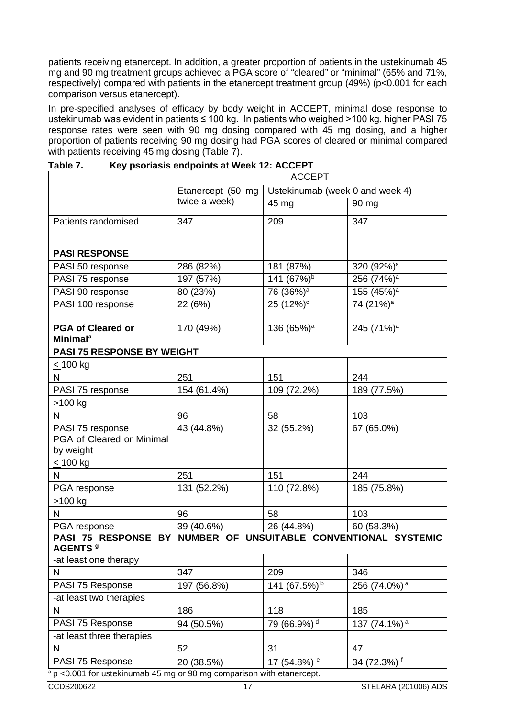patients receiving etanercept. In addition, a greater proportion of patients in the ustekinumab 45 mg and 90 mg treatment groups achieved a PGA score of "cleared" or "minimal" (65% and 71%, respectively) compared with patients in the etanercept treatment group (49%) (p<0.001 for each comparison versus etanercept).

In pre-specified analyses of efficacy by body weight in ACCEPT, minimal dose response to ustekinumab was evident in patients ≤ 100 kg. In patients who weighed >100 kg, higher PASI 75 response rates were seen with 90 mg dosing compared with 45 mg dosing, and a higher proportion of patients receiving 90 mg dosing had PGA scores of cleared or minimal compared with patients receiving 45 mg dosing (Table 7).

|                                                                                             |                   | <b>ACCEPT</b>                   |                          |
|---------------------------------------------------------------------------------------------|-------------------|---------------------------------|--------------------------|
|                                                                                             | Etanercept (50 mg | Ustekinumab (week 0 and week 4) |                          |
|                                                                                             | twice a week)     | 45 mg                           | 90 mg                    |
| Patients randomised                                                                         | 347               | 209                             | 347                      |
|                                                                                             |                   |                                 |                          |
| <b>PASI RESPONSE</b>                                                                        |                   |                                 |                          |
| PASI 50 response                                                                            | 286 (82%)         | 181 (87%)                       | 320 (92%) <sup>a</sup>   |
| PASI 75 response                                                                            | 197 (57%)         | 141 $(67\%)^b$                  | 256 (74%) <sup>a</sup>   |
| PASI 90 response                                                                            | 80 (23%)          | 76 (36%) <sup>a</sup>           | 155 (45%) <sup>a</sup>   |
| PASI 100 response                                                                           | 22 (6%)           | $25(12%)^c$                     | 74(21%) <sup>a</sup>     |
|                                                                                             |                   |                                 |                          |
| <b>PGA of Cleared or</b><br><b>Minimal<sup>a</sup></b>                                      | 170 (49%)         | 136 (65%) <sup>a</sup>          | 245 (71%) <sup>a</sup>   |
| <b>PASI 75 RESPONSE BY WEIGHT</b>                                                           |                   |                                 |                          |
| $< 100$ kg                                                                                  |                   |                                 |                          |
| N                                                                                           | 251               | 151                             | 244                      |
| PASI 75 response                                                                            | 154 (61.4%)       | 109 (72.2%)                     | 189 (77.5%)              |
| >100 kg                                                                                     |                   |                                 |                          |
| N.                                                                                          | 96                | 58                              | 103                      |
| PASI 75 response                                                                            | 43 (44.8%)        | 32 (55.2%)                      | 67 (65.0%)               |
| PGA of Cleared or Minimal                                                                   |                   |                                 |                          |
| by weight                                                                                   |                   |                                 |                          |
| <u>&lt;</u> 100 kg                                                                          |                   |                                 |                          |
| N                                                                                           | 251               | 151                             | 244                      |
| PGA response                                                                                | 131 (52.2%)       | 110 (72.8%)                     | 185 (75.8%)              |
| >100 kg                                                                                     |                   |                                 |                          |
| N                                                                                           | 96                | 58                              | 103                      |
| PGA response                                                                                | 39 (40.6%)        | 26 (44.8%)                      | 60 (58.3%)               |
| PASI 75 RESPONSE BY NUMBER OF UNSUITABLE CONVENTIONAL SYSTEMIC<br><b>AGENTS<sup>9</sup></b> |                   |                                 |                          |
| -at least one therapy                                                                       |                   |                                 |                          |
| N                                                                                           | 347               | 209                             | 346                      |
| PASI 75 Response                                                                            | 197 (56.8%)       | 141 (67.5%) b                   | 256 (74.0%) <sup>a</sup> |
| -at least two therapies                                                                     |                   |                                 |                          |
| N                                                                                           | 186               | 118                             | 185                      |
| PASI 75 Response                                                                            | 94 (50.5%)        | 79 (66.9%) <sup>d</sup>         | 137 (74.1%) <sup>a</sup> |
| -at least three therapies                                                                   |                   |                                 |                          |
| N                                                                                           | 52                | 31                              | 47                       |
| PASI 75 Response                                                                            | 20 (38.5%)        | 17 (54.8%) <sup>e</sup>         | 34 (72.3%) f             |
| $0.001$ for untokinumah                                                                     |                   |                                 |                          |

**Table 7. Key psoriasis endpoints at Week 12: ACCEPT**

a p <0.001 for ustekinumab 45 mg or 90 mg comparison with etanercept.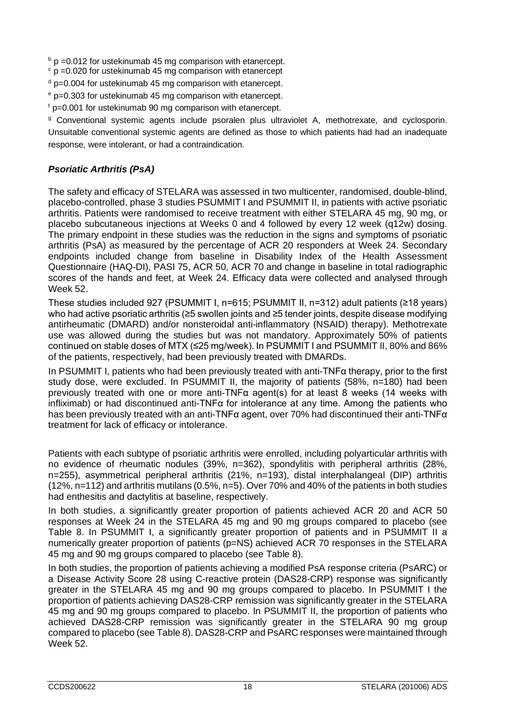$b$  p =0.012 for ustekinumab 45 mg comparison with etanercept.

- $\degree$  p =0.020 for ustekinumab 45 mg comparison with etanercept
- $d$  p=0.004 for ustekinumab 45 mg comparison with etanercept.
- <sup>e</sup> p=0.303 for ustekinumab 45 mg comparison with etanercept.

 $f$  p=0.001 for ustekinumab 90 mg comparison with etanercept.

<sup>g</sup> Conventional systemic agents include psoralen plus ultraviolet A, methotrexate, and cyclosporin. Unsuitable conventional systemic agents are defined as those to which patients had had an inadequate response, were intolerant, or had a contraindication.

# *Psoriatic Arthritis (PsA)*

The safety and efficacy of STELARA was assessed in two multicenter, randomised, double-blind, placebo-controlled, phase 3 studies PSUMMIT I and PSUMMIT II, in patients with active psoriatic arthritis. Patients were randomised to receive treatment with either STELARA 45 mg, 90 mg, or placebo subcutaneous injections at Weeks 0 and 4 followed by every 12 week (q12w) dosing. The primary endpoint in these studies was the reduction in the signs and symptoms of psoriatic arthritis (PsA) as measured by the percentage of ACR 20 responders at Week 24. Secondary endpoints included change from baseline in Disability Index of the Health Assessment Questionnaire (HAQ-DI), PASI 75, ACR 50, ACR 70 and change in baseline in total radiographic scores of the hands and feet, at Week 24. Efficacy data were collected and analysed through Week 52.

These studies included 927 (PSUMMIT I, n=615; PSUMMIT II, n=312) adult patients (≥18 years) who had active psoriatic arthritis (≥5 swollen joints and ≥5 tender joints, despite disease modifying antirheumatic (DMARD) and/or nonsteroidal anti-inflammatory (NSAID) therapy). Methotrexate use was allowed during the studies but was not mandatory. Approximately 50% of patients continued on stable doses of MTX (≤25 mg/week). In PSUMMIT I and PSUMMIT II, 80% and 86% of the patients, respectively, had been previously treated with DMARDs.

In PSUMMIT I, patients who had been previously treated with anti-TNFα therapy, prior to the first study dose, were excluded. In PSUMMIT II, the majority of patients (58%, n=180) had been previously treated with one or more anti-TNFα agent(s) for at least 8 weeks (14 weeks with infliximab) or had discontinued anti-TNFα for intolerance at any time. Among the patients who has been previously treated with an anti-TNFα agent, over 70% had discontinued their anti-TNFα treatment for lack of efficacy or intolerance.

Patients with each subtype of psoriatic arthritis were enrolled, including polyarticular arthritis with no evidence of rheumatic nodules (39%, n=362), spondylitis with peripheral arthritis (28%, n=255), asymmetrical peripheral arthritis (21%, n=193), distal interphalangeal (DIP) arthritis (12%, n=112) and arthritis mutilans (0.5%, n=5). Over 70% and 40% of the patients in both studies had enthesitis and dactylitis at baseline, respectively.

In both studies, a significantly greater proportion of patients achieved ACR 20 and ACR 50 responses at Week 24 in the STELARA 45 mg and 90 mg groups compared to placebo (see Table 8. In PSUMMIT I, a significantly greater proportion of patients and in PSUMMIT II a numerically greater proportion of patients (p=NS) achieved ACR 70 responses in the STELARA 45 mg and 90 mg groups compared to placebo (see Table 8).

In both studies, the proportion of patients achieving a modified PsA response criteria (PsARC) or a Disease Activity Score 28 using C-reactive protein (DAS28-CRP) response was significantly greater in the STELARA 45 mg and 90 mg groups compared to placebo. In PSUMMIT I the proportion of patients achieving DAS28-CRP remission was significantly greater in the STELARA 45 mg and 90 mg groups compared to placebo. In PSUMMIT II, the proportion of patients who achieved DAS28-CRP remission was significantly greater in the STELARA 90 mg group compared to placebo (see Table 8). DAS28-CRP and PsARC responses were maintained through Week 52.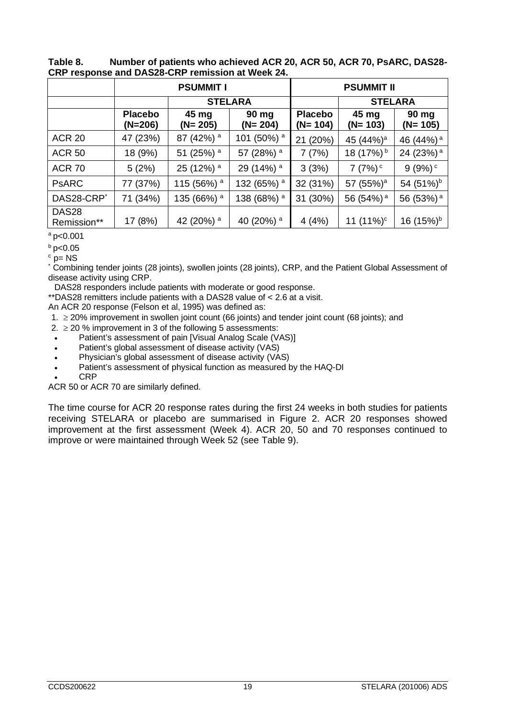|                                  | <b>PSUMMIT I</b>          |                        |                        | <b>PSUMMIT II</b>          |                       |                       |  |
|----------------------------------|---------------------------|------------------------|------------------------|----------------------------|-----------------------|-----------------------|--|
|                                  |                           | <b>STELARA</b>         |                        |                            | <b>STELARA</b>        |                       |  |
|                                  | <b>Placebo</b><br>(N=206) | 45 mg<br>(N= 205)      | 90 mg<br>$(N=204)$     | <b>Placebo</b><br>(N= 104) | 45 mg<br>$(N=103)$    | 90 mg<br>$(N=105)$    |  |
| <b>ACR 20</b>                    | 47 (23%)                  | 87 (42%) <sup>a</sup>  | 101 (50%) <sup>a</sup> | (20%)<br>21                | 45 (44%) <sup>a</sup> | 46 (44%) <sup>a</sup> |  |
| <b>ACR 50</b>                    | 18 (9%)                   | 51 (25%) <sup>a</sup>  | 57 (28%) a             | 7(7%)                      | 18 (17%) <sup>b</sup> | 24 (23%) <sup>a</sup> |  |
| <b>ACR 70</b>                    | 5(2%)                     | 25 (12%) <sup>a</sup>  | 29 (14%) <sup>a</sup>  | 3(3%)                      | 7(7%)                 | 9(9%)                 |  |
| <b>PSARC</b>                     | 77 (37%)                  | 115 (56%) <sup>a</sup> | 132 (65%) <sup>a</sup> | 32 (31%)                   | 57 (55%) <sup>a</sup> | 54 (51%) <sup>b</sup> |  |
| DAS28-CRP <sup>*</sup>           | 71 (34%)                  | 135 (66%) <sup>a</sup> | 138 (68%) <sup>a</sup> | (30%)<br>31                | 56 (54%) <sup>a</sup> | 56 (53%) <sup>a</sup> |  |
| DAS <sub>28</sub><br>Remission** | 17 (8%)                   | 42 (20%) a             | 40 (20%) a             | 4(4%)                      | 11 $(11\%)^c$         | 16 $(15%)^b$          |  |

**Table 8. Number of patients who achieved ACR 20, ACR 50, ACR 70, PsARC, DAS28- CRP response and DAS28-CRP remission at Week 24.**

 $a$  p<0.001

 $b$  p<0.05

 $c$  p= NS

\* P= We combining tender joints (28 joints), swollen joints (28 joints), CRP, and the Patient Global Assessment of disease activity using CRP.

DAS28 responders include patients with moderate or good response.

\*\*DAS28 remitters include patients with a DAS28 value of < 2.6 at a visit.

An ACR 20 response (Felson et al, 1995) was defined as:

- 1. ≥ 20% improvement in swollen joint count (66 joints) and tender joint count (68 joints); and
- 2.  $\geq$  20 % improvement in 3 of the following 5 assessments:
- Patient's assessment of pain [Visual Analog Scale (VAS)]
- Patient's global assessment of disease activity (VAS)
- Physician's global assessment of disease activity (VAS)
- Patient's assessment of physical function as measured by the HAQ-DI
- CRP

ACR 50 or ACR 70 are similarly defined.

The time course for ACR 20 response rates during the first 24 weeks in both studies for patients receiving STELARA or placebo are summarised in Figure 2. ACR 20 responses showed improvement at the first assessment (Week 4). ACR 20, 50 and 70 responses continued to improve or were maintained through Week 52 (see Table 9).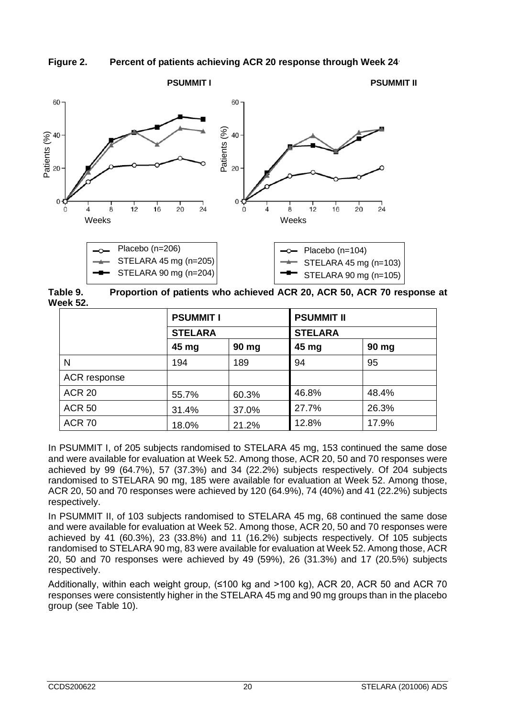



**Table 9. Proportion of patients who achieved ACR 20, ACR 50, ACR 70 response at Week 52.**

|               | <b>PSUMMIT I</b> |       |                | <b>PSUMMIT II</b> |  |  |  |
|---------------|------------------|-------|----------------|-------------------|--|--|--|
|               | <b>STELARA</b>   |       | <b>STELARA</b> |                   |  |  |  |
|               | 45 mg            | 90 mg | 45 mg          | 90 mg             |  |  |  |
| N             | 194              | 189   | 94             | 95                |  |  |  |
| ACR response  |                  |       |                |                   |  |  |  |
| <b>ACR 20</b> | 55.7%            | 60.3% | 46.8%          | 48.4%             |  |  |  |
| <b>ACR 50</b> | 31.4%            | 37.0% | 27.7%          | 26.3%             |  |  |  |
| <b>ACR 70</b> | 18.0%            | 21.2% | 12.8%          | 17.9%             |  |  |  |

In PSUMMIT I, of 205 subjects randomised to STELARA 45 mg, 153 continued the same dose and were available for evaluation at Week 52. Among those, ACR 20, 50 and 70 responses were achieved by 99 (64.7%), 57 (37.3%) and 34 (22.2%) subjects respectively. Of 204 subjects randomised to STELARA 90 mg, 185 were available for evaluation at Week 52. Among those, ACR 20, 50 and 70 responses were achieved by 120 (64.9%), 74 (40%) and 41 (22.2%) subjects respectively.

In PSUMMIT II, of 103 subjects randomised to STELARA 45 mg, 68 continued the same dose and were available for evaluation at Week 52. Among those, ACR 20, 50 and 70 responses were achieved by 41 (60.3%), 23 (33.8%) and 11 (16.2%) subjects respectively. Of 105 subjects randomised to STELARA 90 mg, 83 were available for evaluation at Week 52. Among those, ACR 20, 50 and 70 responses were achieved by 49 (59%), 26 (31.3%) and 17 (20.5%) subjects respectively.

Additionally, within each weight group,  $(\leq 100 \text{ kg}$  and  $> 100 \text{ kg})$ , ACR 20, ACR 50 and ACR 70 responses were consistently higher in the STELARA 45 mg and 90 mg groups than in the placebo group (see Table 10).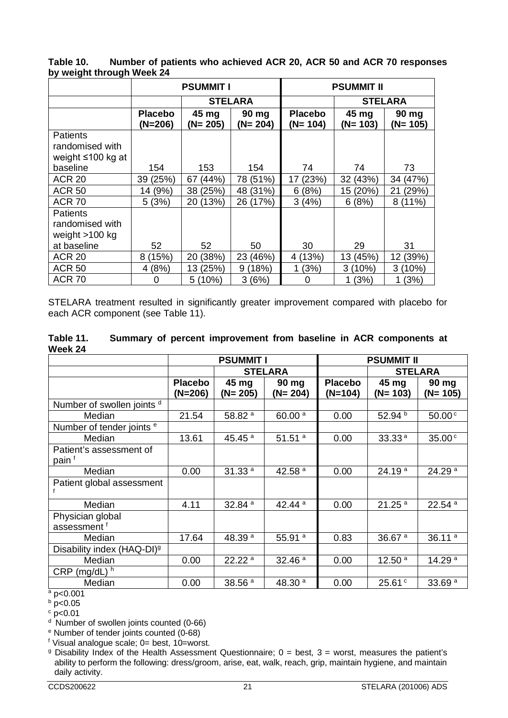**Table 10. Number of patients who achieved ACR 20, ACR 50 and ACR 70 responses by weight through Week 24**

|                                                                     |                           | <b>PSUMMIT I</b><br><b>STELARA</b><br>45 mg<br>(N= 205)<br>154<br>153<br>67 (44%)<br>38 (25%) |                    | <b>PSUMMIT II</b>           |                    |                    |  |
|---------------------------------------------------------------------|---------------------------|-----------------------------------------------------------------------------------------------|--------------------|-----------------------------|--------------------|--------------------|--|
|                                                                     |                           |                                                                                               |                    |                             |                    | <b>STELARA</b>     |  |
|                                                                     | <b>Placebo</b><br>(N=206) |                                                                                               | 90 mg<br>$(N=204)$ | <b>Placebo</b><br>$(N=104)$ | 45 mg<br>$(N=103)$ | 90 mg<br>$(N=105)$ |  |
| <b>Patients</b><br>randomised with<br>weight ≤100 kg at<br>baseline |                           |                                                                                               | 154                | 74                          | 74                 | 73                 |  |
| <b>ACR 20</b>                                                       | 39 (25%)                  |                                                                                               | 78 (51%)           | (23%)<br>17                 | 32 (43%)           | 34 (47%)           |  |
| <b>ACR 50</b>                                                       | 14 (9%)                   |                                                                                               | 48 (31%)           | 6(8%)                       | (20%)<br>15        | (29%)<br>21        |  |
| <b>ACR 70</b>                                                       | 5(3%)                     | 20 (13%)                                                                                      | 26 (17%)           | 3(4%)                       | 6(8%)              | $(11\%)$<br>8      |  |
| <b>Patients</b><br>randomised with<br>weight $>100$ kg              |                           |                                                                                               |                    |                             |                    |                    |  |
| at baseline                                                         | 52                        | 52                                                                                            | 50                 | 30                          | 29                 | 31                 |  |
| <b>ACR 20</b>                                                       | (15%)<br>8                | (38%)<br>20                                                                                   | 23 (46%)           | 4 (13%)                     | 13 (45%)           | (39%)<br>12        |  |
| <b>ACR 50</b>                                                       | 4(8%)                     | 13 (25%)                                                                                      | 9(18%)             | 1(3%)                       | $3(10\%)$          | 3<br>(10%)         |  |
| <b>ACR 70</b>                                                       | 0                         | 5(10%)                                                                                        | 3(6%)              | 0                           | 1(3%)              | (3%)               |  |

STELARA treatment resulted in significantly greater improvement compared with placebo for each ACR component (see Table 11).

| Table 11. |  | Summary of percent improvement from baseline in ACR components at |  |  |  |
|-----------|--|-------------------------------------------------------------------|--|--|--|
| Week 24   |  |                                                                   |  |  |  |

|                                              |                           | <b>PSUMMIT I</b>   |                      | <b>PSUMMIT II</b>         |                    |                      |
|----------------------------------------------|---------------------------|--------------------|----------------------|---------------------------|--------------------|----------------------|
|                                              |                           |                    | <b>STELARA</b>       | <b>STELARA</b>            |                    |                      |
|                                              | <b>Placebo</b><br>(N=206) | 45 mg<br>(N= 205)  | 90 mg<br>$(N=204)$   | <b>Placebo</b><br>(N=104) | 45 mg<br>(N= 103)  | 90 mg<br>$(N=105)$   |
| Number of swollen joints d                   |                           |                    |                      |                           |                    |                      |
| Median                                       | 21.54                     | 58.82 <sup>a</sup> | 60.00 <sup>a</sup>   | 0.00                      | 52.94 <sup>b</sup> | 50.00 <sup>c</sup>   |
| Number of tender joints <sup>e</sup>         |                           |                    |                      |                           |                    |                      |
| Median                                       | 13.61                     | 45.45 $a$          | $51.51$ <sup>a</sup> | 0.00                      | 33.33 <sup>a</sup> | 35.00 <sup>c</sup>   |
| Patient's assessment of<br>pain <sup>f</sup> |                           |                    |                      |                           |                    |                      |
| Median                                       | 0.00                      | 31.33 <sup>a</sup> | 42.58 $a$            | 0.00                      | 24.19 <sup>a</sup> | 24.29 <sup>a</sup>   |
| Patient global assessment                    |                           |                    |                      |                           |                    |                      |
| Median                                       | 4.11                      | 32.84 <sup>a</sup> | 42.44 <sup>a</sup>   | 0.00                      | 21.25 <sup>a</sup> | $22.54$ <sup>a</sup> |
| Physician global<br>assessment <sup>f</sup>  |                           |                    |                      |                           |                    |                      |
| Median                                       | 17.64                     | 48.39 <sup>a</sup> | 55.91 <sup>a</sup>   | 0.83                      | 36.67 $a$          | 36.11 $a$            |
| Disability index (HAQ-DI) <sup>9</sup>       |                           |                    |                      |                           |                    |                      |
| Median                                       | 0.00                      | 22.22 <sup>a</sup> | 32.46 <sup>a</sup>   | 0.00                      | 12.50 $a$          | 14.29 <sup>a</sup>   |
| $(mg/dL)$ <sup>h</sup><br><b>CRP</b>         |                           |                    |                      |                           |                    |                      |
| Median                                       | 0.00                      | 38.56 <sup>a</sup> | 48.30 $a$            | 0.00                      | 25.61°             | 33.69 <sup>a</sup>   |

 $a$  p<0.001

 $b$  p<0.05

 $\degree$  p<0.01

<sup>d</sup> Number of swollen joints counted (0-66)

<sup>e</sup> Number of tender joints counted (0-68)

 $<sup>f</sup>$  Visual analogue scale; 0= best, 10=worst.</sup>

<sup>9</sup> Disability Index of the Health Assessment Questionnaire;  $0 =$  best,  $3 =$  worst, measures the patient's ability to perform the following: dress/groom, arise, eat, walk, reach, grip, maintain hygiene, and maintain daily activity.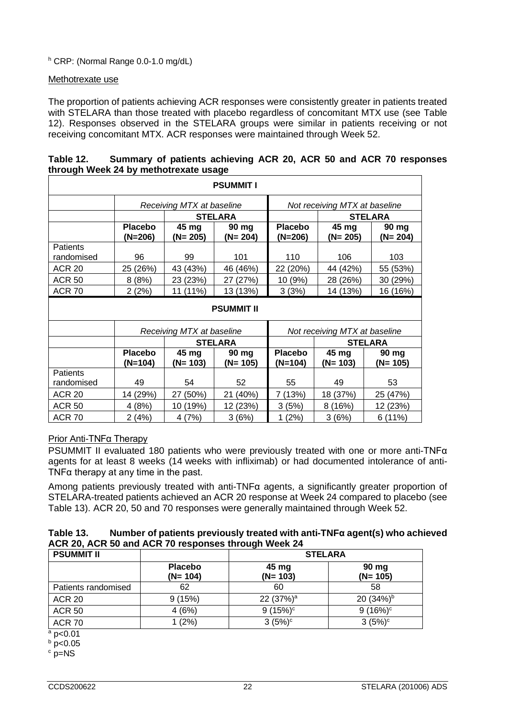<sup>h</sup> CRP: (Normal Range 0.0-1.0 mg/dL)

#### Methotrexate use

The proportion of patients achieving ACR responses were consistently greater in patients treated with STELARA than those treated with placebo regardless of concomitant MTX use (see Table 12). Responses observed in the STELARA groups were similar in patients receiving or not receiving concomitant MTX. ACR responses were maintained through Week 52.

| through week 24 by methodexate usage |                             |                           |                             |                             |                               |                    |  |
|--------------------------------------|-----------------------------|---------------------------|-----------------------------|-----------------------------|-------------------------------|--------------------|--|
| <b>PSUMMIT I</b>                     |                             |                           |                             |                             |                               |                    |  |
|                                      |                             | Receiving MTX at baseline |                             |                             | Not receiving MTX at baseline |                    |  |
|                                      |                             |                           | <b>STELARA</b>              |                             |                               | <b>STELARA</b>     |  |
|                                      | <b>Placebo</b><br>$(N=206)$ | 45 mg<br>$(N=205)$        | 90 mg<br>$(N=204)$          | <b>Placebo</b><br>$(N=206)$ | 45 mg<br>$(N=205)$            | 90 mg<br>$(N=204)$ |  |
| Patients                             |                             |                           |                             |                             |                               |                    |  |
| randomised                           | 96                          | 99                        | 101                         | 110                         | 106                           | 103                |  |
| <b>ACR 20</b>                        | 25 (26%)                    | 43 (43%)                  | 46 (46%)                    | 22 (20%)                    | 44 (42%)                      | 55 (53%)           |  |
| <b>ACR 50</b>                        | 8(8%)                       | 23 (23%)                  | 27 (27%)                    | 10 (9%)                     | 28 (26%)                      | 30 (29%)           |  |
| <b>ACR 70</b>                        | 2(2%)                       | 11 (11%)                  | 13 (13%)                    | 3(3%)                       | 14 (13%)                      | 16 (16%)           |  |
|                                      |                             |                           | <b>PSUMMIT II</b>           |                             |                               |                    |  |
|                                      |                             | Receiving MTX at baseline |                             |                             | Not receiving MTX at baseline |                    |  |
|                                      |                             |                           | <b>STELARA</b>              |                             | <b>STELARA</b>                |                    |  |
|                                      | <b>Placebo</b><br>(N=104)   | 45 mg<br>$(N=103)$        | $90 \text{ mg}$<br>(N= 105) | <b>Placebo</b><br>$(N=104)$ | 45 mg<br>(N= 103)             | 90 mg<br>(N= 105)  |  |
| <b>Patients</b>                      |                             |                           |                             |                             |                               |                    |  |
| randomised                           | 49                          | 54                        | 52                          | 55                          | 49                            | 53                 |  |
| <b>ACR 20</b>                        | 14 (29%)                    | 27 (50%)                  | 21 (40%)                    | 7 (13%)                     | 18 (37%)                      | 25 (47%)           |  |
| <b>ACR 50</b>                        | 4(8%)                       | 10 (19%)                  | 12 (23%)                    | 3(5%)                       | 8(16%)                        | 12 (23%)           |  |
| <b>ACR 70</b>                        | 2 (4%)                      | 4(7%)                     | 3(6%)                       | 1(2%)                       | 3(6%)                         | 6(11%)             |  |

## **Table 12. Summary of patients achieving ACR 20, ACR 50 and ACR 70 responses through Week 24 by methotrexate usage**

# Prior Anti-TNFα Therapy

PSUMMIT II evaluated 180 patients who were previously treated with one or more anti-TNFα agents for at least 8 weeks (14 weeks with infliximab) or had documented intolerance of anti-TNF $\alpha$  therapy at any time in the past.

Among patients previously treated with anti-TNFα agents, a significantly greater proportion of STELARA-treated patients achieved an ACR 20 response at Week 24 compared to placebo (see Table 13). ACR 20, 50 and 70 responses were generally maintained through Week 52.

| Table 13. | Number of patients previously treated with anti-TNF $\alpha$ agent(s) who achieved |
|-----------|------------------------------------------------------------------------------------|
|           | ACR 20, ACR 50 and ACR 70 responses through Week 24                                |

|                              | <b>STELARA</b>        |                    |  |  |
|------------------------------|-----------------------|--------------------|--|--|
| <b>Placebo</b><br>$(N= 104)$ | 45 mg<br>$(N=103)$    | 90 mg<br>$(N=105)$ |  |  |
| 62                           | 60                    | 58                 |  |  |
| 9(15%)                       | 22 (37%) <sup>a</sup> | 20 $(34%)^b$       |  |  |
| 4(6%)                        | $9(15%)^c$            | $9(16%)^c$         |  |  |
| $1(2\%)$                     | $3(5%)^c$             | $3(5%)^c$          |  |  |
|                              |                       |                    |  |  |

p<0.01

 $b$  p<0.05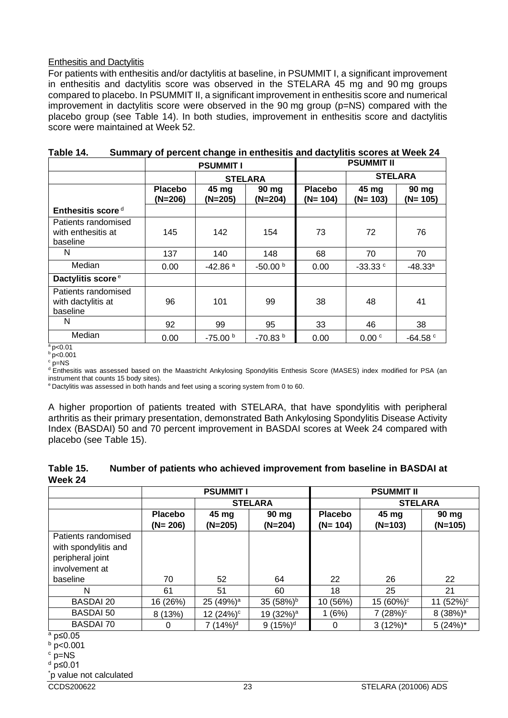## Enthesitis and Dactylitis

For patients with enthesitis and/or dactylitis at baseline, in PSUMMIT I, a significant improvement in enthesitis and dactylitis score was observed in the STELARA 45 mg and 90 mg groups compared to placebo. In PSUMMIT II, a significant improvement in enthesitis score and numerical improvement in dactylitis score were observed in the 90 mg group (p=NS) compared with the placebo group (see Table 14). In both studies, improvement in enthesitis score and dactylitis score were maintained at Week 52.

|                                                       |                             | <b>PSUMMIT I</b>      |                    | <b>PSUMMIT II</b>           |                    |                    |
|-------------------------------------------------------|-----------------------------|-----------------------|--------------------|-----------------------------|--------------------|--------------------|
|                                                       |                             |                       | <b>STELARA</b>     |                             | <b>STELARA</b>     |                    |
|                                                       | <b>Placebo</b><br>$(N=206)$ | 45 mg<br>$(N=205)$    | 90 mg<br>$(N=204)$ | <b>Placebo</b><br>$(N=104)$ | 45 mg<br>$(N=103)$ | 90 mg<br>$(N=105)$ |
| Enthesitis score $d$                                  |                             |                       |                    |                             |                    |                    |
| Patients randomised<br>with enthesitis at<br>baseline | 145                         | 142                   | 154                | 73                          | 72                 | 76                 |
| N                                                     | 137                         | 140                   | 148                | 68                          | 70                 | 70                 |
| Median                                                | 0.00                        | $-42.86$ <sup>a</sup> | $-50.00b$          | 0.00                        | $-33.33$ $\degree$ | $-48.33a$          |
| Dactylitis score <sup>e</sup>                         |                             |                       |                    |                             |                    |                    |
| Patients randomised<br>with dactylitis at<br>baseline | 96                          | 101                   | 99                 | 38                          | 48                 | 41                 |
| N                                                     | 92                          | 99                    | 95                 | 33                          | 46                 | 38                 |
| Median                                                | 0.00                        | $-75.00b$             | $-70.83b$          | 0.00                        | 0.00 <sup>c</sup>  | $-64.58 °$         |

| Table 14. |  |  | Summary of percent change in enthesitis and dactylitis scores at Week 24 |
|-----------|--|--|--------------------------------------------------------------------------|
|-----------|--|--|--------------------------------------------------------------------------|

 $a$  p<0.01

 $b$  p<0.001  $p=NS$ 

<sup>d</sup> Enthesitis was assessed based on the Maastricht Ankylosing Spondylitis Enthesis Score (MASES) index modified for PSA (an instrument that counts 15 body sites).

e Dactylitis was assessed in both hands and feet using a scoring system from 0 to 60.

A higher proportion of patients treated with STELARA, that have spondylitis with peripheral arthritis as their primary presentation, demonstrated Bath Ankylosing Spondylitis Disease Activity Index (BASDAI) 50 and 70 percent improvement in BASDAI scores at Week 24 compared with placebo (see Table 15).

#### **Table 15. Number of patients who achieved improvement from baseline in BASDAI at Week 24**

|                      | <b>PSUMMIT I</b> |                       |                       | <b>PSUMMIT II</b> |                |                 |  |
|----------------------|------------------|-----------------------|-----------------------|-------------------|----------------|-----------------|--|
|                      |                  |                       | <b>STELARA</b>        |                   | <b>STELARA</b> |                 |  |
|                      | <b>Placebo</b>   | 45 mg                 | $90$ mg               | <b>Placebo</b>    | 45 mg          | 90 mg           |  |
|                      | $(N = 206)$      | $(N=205)$             | $(N=204)$             | $(N=104)$         | $(N=103)$      | $(N=105)$       |  |
| Patients randomised  |                  |                       |                       |                   |                |                 |  |
| with spondylitis and |                  |                       |                       |                   |                |                 |  |
| peripheral joint     |                  |                       |                       |                   |                |                 |  |
| involvement at       |                  |                       |                       |                   |                |                 |  |
| baseline             | 70               | 52                    | 64                    | 22                | 26             | 22              |  |
| N                    | 61               | 51                    | 60                    | 18                | 25             | 21              |  |
| <b>BASDAI 20</b>     | 16 (26%)         | 25 (49%) <sup>a</sup> | 35 $(58%)^b$          | 10 (56%)          | $15(60\%)^c$   | $(52%)^c$<br>11 |  |
| <b>BASDAI 50</b>     | 8(13%)           | 12 (24%) <sup>c</sup> | 19 (32%) <sup>a</sup> | 1(6%)             | $7(28%)^c$     | $8(38%)^a$      |  |
| <b>BASDAI 70</b>     | 0                | 7 $(14%)d$            | 9(15%) <sup>d</sup>   | 0                 | $3(12\%)^*$    | $5(24%)$ *      |  |
| a n<∩ ∩⊼             |                  |                       |                       |                   |                |                 |  |

<sup>a</sup> p≤0.05

<sup>b</sup> p<0.001

 $c$  p=NS  $d$  p≤0.01

\* p value not calculated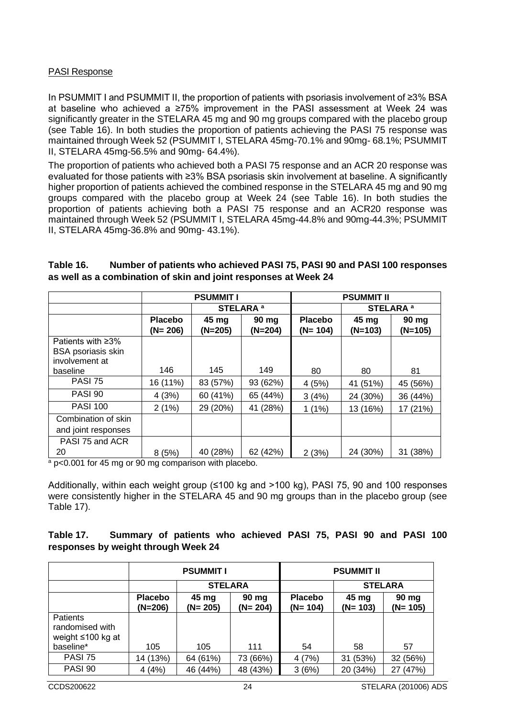#### PASI Response

In PSUMMIT I and PSUMMIT II, the proportion of patients with psoriasis involvement of ≥3% BSA at baseline who achieved a ≥75% improvement in the PASI assessment at Week 24 was significantly greater in the STELARA 45 mg and 90 mg groups compared with the placebo group (see Table 16). In both studies the proportion of patients achieving the PASI 75 response was maintained through Week 52 (PSUMMIT I, STELARA 45mg-70.1% and 90mg- 68.1%; PSUMMIT II, STELARA 45mg-56.5% and 90mg- 64.4%).

The proportion of patients who achieved both a PASI 75 response and an ACR 20 response was evaluated for those patients with ≥3% BSA psoriasis skin involvement at baseline. A significantly higher proportion of patients achieved the combined response in the STELARA 45 mg and 90 mg groups compared with the placebo group at Week 24 (see Table 16). In both studies the proportion of patients achieving both a PASI 75 response and an ACR20 response was maintained through Week 52 (PSUMMIT I, STELARA 45mg-44.8% and 90mg-44.3%; PSUMMIT II, STELARA 45mg-36.8% and 90mg- 43.1%).

|                                                           | <b>PSUMMIT I</b> |           |                      | <b>PSUMMIT II</b> |                      |           |
|-----------------------------------------------------------|------------------|-----------|----------------------|-------------------|----------------------|-----------|
|                                                           |                  |           | STELARA <sup>a</sup> |                   | STELARA <sup>a</sup> |           |
|                                                           | <b>Placebo</b>   | 45 mg     | $90 \text{ mg}$      | <b>Placebo</b>    | 45 mg                | 90 mg     |
|                                                           | $(N=206)$        | $(N=205)$ | $(N=204)$            | $(N=104)$         | $(N=103)$            | $(N=105)$ |
| Patients with $\geq$ 3%                                   |                  |           |                      |                   |                      |           |
| <b>BSA psoriasis skin</b>                                 |                  |           |                      |                   |                      |           |
| involvement at                                            |                  |           |                      |                   |                      |           |
| baseline                                                  | 146              | 145       | 149                  | 80                | 80                   | 81        |
| <b>PASI 75</b>                                            | 16 (11%)         | 83 (57%)  | 93 (62%)             | 4(5%)             | 41 (51%)             | 45 (56%)  |
| <b>PASI 90</b>                                            | 4(3%)            | 60 (41%)  | 65 (44%)             | 3(4%)             | 24 (30%)             | 36 (44%)  |
| <b>PASI 100</b>                                           | 2(1%)            | 29 (20%)  | 41 (28%)             | $1(1\%)$          | 13 (16%)             | 17 (21%)  |
| Combination of skin                                       |                  |           |                      |                   |                      |           |
| and joint responses                                       |                  |           |                      |                   |                      |           |
| PASI 75 and ACR                                           |                  |           |                      |                   |                      |           |
| 20<br>$\sim$ $\sim$ $\sim$ $\sim$ $\sim$ $\sim$<br>$\sim$ | 8(5%)            | 40 (28%)  | 62 (42%)             | 2(3%)             | 24 (30%)             | 31 (38%)  |

| Table 16. | Number of patients who achieved PASI 75, PASI 90 and PASI 100 responses |
|-----------|-------------------------------------------------------------------------|
|           | as well as a combination of skin and joint responses at Week 24         |

<sup>a</sup> p<0.001 for 45 mg or 90 mg comparison with placebo.

Additionally, within each weight group (≤100 kg and >100 kg), PASI 75, 90 and 100 responses were consistently higher in the STELARA 45 and 90 mg groups than in the placebo group (see Table 17).

# **Table 17. Summary of patients who achieved PASI 75, PASI 90 and PASI 100 responses by weight through Week 24**

|                                                  | <b>PSUMMIT I</b>            |                                            |                | <b>PSUMMIT II</b>           |                              |                    |
|--------------------------------------------------|-----------------------------|--------------------------------------------|----------------|-----------------------------|------------------------------|--------------------|
|                                                  |                             |                                            | <b>STELARA</b> |                             | <b>STELARA</b>               |                    |
|                                                  | <b>Placebo</b><br>$(N=206)$ | 45 mg<br>90 mg<br>$(N = 204)$<br>$(N=205)$ |                | <b>Placebo</b><br>$(N=104)$ | $45 \text{ mg}$<br>$(N=103)$ | 90 mg<br>$(N=105)$ |
| Patients<br>randomised with<br>weight ≤100 kg at |                             |                                            |                |                             |                              |                    |
| baseline*                                        | 105                         | 105                                        | 111            | 54                          | 58                           | 57                 |
| <b>PASI 75</b>                                   | 14 (13%)                    | 64 (61%)                                   | 73 (66%)       | 4(7%)                       | (53%)<br>31                  | 32 (56%)           |
| PASI 90                                          | 4(4%)                       | 46 (44%)                                   | 48 (43%)       | 3(6%)                       | 20 (34%)                     | (47%)<br>27        |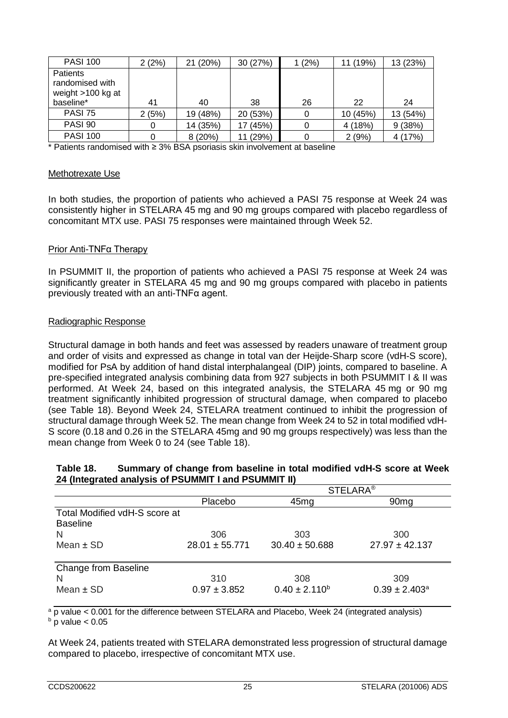| <b>PASI 100</b>                                  | 2(2%) | 21 (20%) | 30 (27%)    | 1 (2%) | (19%)    | 13 (23%) |
|--------------------------------------------------|-------|----------|-------------|--------|----------|----------|
| Patients<br>randomised with<br>weight >100 kg at |       |          |             |        |          |          |
| baseline*                                        | 41    | 40       | 38          | 26     | 22       | 24       |
| <b>PASI 75</b>                                   | 2(5%) | 19 (48%) | 20 (53%)    | 0      | 10 (45%) | 13 (54%) |
| PASI 90                                          |       | 14 (35%) | 17 (45%)    |        | 4 (18%)  | 9(38%)   |
| <b>PASI 100</b>                                  |       | 8(20%)   | (29%)<br>11 |        | 2(9%)    | 4 (17%)  |

\* Patients randomised with ≥ 3% BSA psoriasis skin involvement at baseline

#### Methotrexate Use

In both studies, the proportion of patients who achieved a PASI 75 response at Week 24 was consistently higher in STELARA 45 mg and 90 mg groups compared with placebo regardless of concomitant MTX use. PASI 75 responses were maintained through Week 52.

#### Prior Anti-TNFα Therapy

In PSUMMIT II, the proportion of patients who achieved a PASI 75 response at Week 24 was significantly greater in STELARA 45 mg and 90 mg groups compared with placebo in patients previously treated with an anti-TNFα agent.

#### Radiographic Response

Structural damage in both hands and feet was assessed by readers unaware of treatment group and order of visits and expressed as change in total van der Heijde-Sharp score (vdH-S score), modified for PsA by addition of hand distal interphalangeal (DIP) joints, compared to baseline. A pre-specified integrated analysis combining data from 927 subjects in both PSUMMIT I & II was performed. At Week 24, based on this integrated analysis, the STELARA 45 mg or 90 mg treatment significantly inhibited progression of structural damage, when compared to placebo (see Table 18). Beyond Week 24, STELARA treatment continued to inhibit the progression of structural damage through Week 52. The mean change from Week 24 to 52 in total modified vdH-S score (0.18 and 0.26 in the STELARA 45mg and 90 mg groups respectively) was less than the mean change from Week 0 to 24 (see Table 18).

#### **Table 18. Summary of change from baseline in total modified vdH-S score at Week 24 (Integrated analysis of PSUMMIT I and PSUMMIT II)**

|                               | <b>STELARA®</b>    |                    |                    |  |  |  |
|-------------------------------|--------------------|--------------------|--------------------|--|--|--|
|                               | Placebo            | 45 <sub>mg</sub>   | 90 <sub>mg</sub>   |  |  |  |
| Total Modified vdH-S score at |                    |                    |                    |  |  |  |
| <b>Baseline</b>               |                    |                    |                    |  |  |  |
| N                             | 306                | 303                | 300                |  |  |  |
| Mean $\pm$ SD                 | $28.01 \pm 55.771$ | $30.40 \pm 50.688$ | $27.97 \pm 42.137$ |  |  |  |
|                               |                    |                    |                    |  |  |  |
| Change from Baseline          |                    |                    |                    |  |  |  |
|                               | 310                | 308                | 309                |  |  |  |
| Mean $\pm$ SD                 | $0.97 \pm 3.852$   | $0.40 \pm 2.110^b$ | $0.39 \pm 2.403^a$ |  |  |  |
|                               |                    |                    |                    |  |  |  |

<sup>a</sup> p value < 0.001 for the difference between STELARA and Placebo, Week 24 (integrated analysis)  $\frac{b}{p}$  p value  $< 0.05$ 

At Week 24, patients treated with STELARA demonstrated less progression of structural damage compared to placebo, irrespective of concomitant MTX use.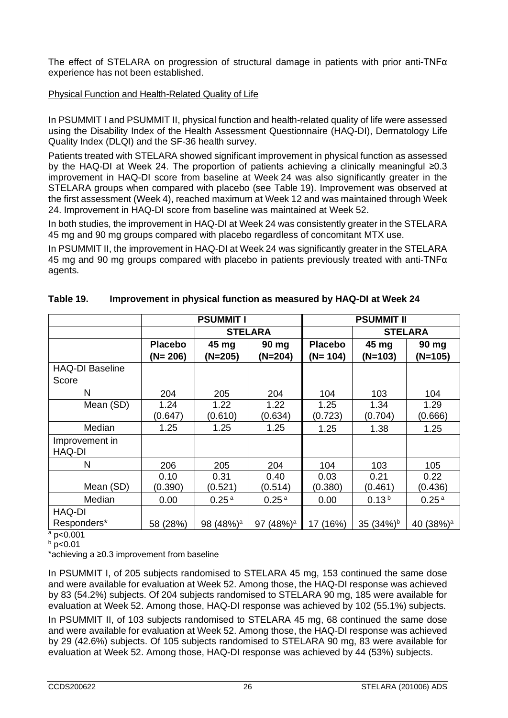The effect of STELARA on progression of structural damage in patients with prior anti-TNF $\alpha$ experience has not been established.

## Physical Function and Health-Related Quality of Life

In PSUMMIT I and PSUMMIT II, physical function and health-related quality of life were assessed using the Disability Index of the Health Assessment Questionnaire (HAQ-DI), Dermatology Life Quality Index (DLQI) and the SF-36 health survey.

Patients treated with STELARA showed significant improvement in physical function as assessed by the HAQ-DI at Week 24. The proportion of patients achieving a clinically meaningful ≥0.3 improvement in HAQ-DI score from baseline at Week 24 was also significantly greater in the STELARA groups when compared with placebo (see Table 19). Improvement was observed at the first assessment (Week 4), reached maximum at Week 12 and was maintained through Week 24. Improvement in HAQ-DI score from baseline was maintained at Week 52.

In both studies, the improvement in HAQ-DI at Week 24 was consistently greater in the STELARA 45 mg and 90 mg groups compared with placebo regardless of concomitant MTX use.

In PSUMMIT II, the improvement in HAQ-DI at Week 24 was significantly greater in the STELARA 45 mg and 90 mg groups compared with placebo in patients previously treated with anti-TNFα agents.

|                                            | <b>PSUMMIT I</b> |                       |                   | <b>PSUMMIT II</b> |                   |                       |
|--------------------------------------------|------------------|-----------------------|-------------------|-------------------|-------------------|-----------------------|
|                                            |                  | <b>STELARA</b>        |                   |                   | <b>STELARA</b>    |                       |
|                                            | <b>Placebo</b>   | 45 mg                 | 90 mg             | <b>Placebo</b>    | 45 mg             | 90 mg                 |
|                                            | $(N=206)$        | $(N=205)$             | $(N=204)$         | $(N=104)$         | $(N=103)$         | $(N=105)$             |
| <b>HAQ-DI Baseline</b>                     |                  |                       |                   |                   |                   |                       |
| Score                                      |                  |                       |                   |                   |                   |                       |
| N                                          | 204              | 205                   | 204               | 104               | 103               | 104                   |
| Mean (SD)                                  | 1.24             | 1.22                  | 1.22              | 1.25              | 1.34              | 1.29                  |
|                                            | (0.647)          | (0.610)               | (0.634)           | (0.723)           | (0.704)           | (0.666)               |
| Median                                     | 1.25             | 1.25                  | 1.25              | 1.25              | 1.38              | 1.25                  |
| Improvement in<br>HAQ-DI                   |                  |                       |                   |                   |                   |                       |
| N                                          | 206              | 205                   | 204               | 104               | 103               | 105                   |
|                                            | 0.10             | 0.31                  | 0.40              | 0.03              | 0.21              | 0.22                  |
| Mean (SD)                                  | (0.390)          | (0.521)               | (0.514)           | (0.380)           | (0.461)           | (0.436)               |
| Median                                     | 0.00             | 0.25 <sup>a</sup>     | 0.25 <sup>a</sup> | 0.00              | 0.13 <sup>b</sup> | 0.25 <sup>a</sup>     |
| HAQ-DI                                     |                  |                       |                   |                   |                   |                       |
| Responders*<br>$\sim$ $\sim$ $\sim$ $\sim$ | 58 (28%)         | 98 (48%) <sup>a</sup> | $(48%)^a$<br>97   | 17 (16%)          | 35 $(34%)^b$      | 40 (38%) <sup>a</sup> |

# **Table 19. Improvement in physical function as measured by HAQ-DI at Week 24**

 $a$  p<0.001

 $b$  p<0.01

\*achieving a ≥0.3 improvement from baseline

In PSUMMIT I, of 205 subjects randomised to STELARA 45 mg, 153 continued the same dose and were available for evaluation at Week 52. Among those, the HAQ-DI response was achieved by 83 (54.2%) subjects. Of 204 subjects randomised to STELARA 90 mg, 185 were available for evaluation at Week 52. Among those, HAQ-DI response was achieved by 102 (55.1%) subjects.

In PSUMMIT II, of 103 subjects randomised to STELARA 45 mg, 68 continued the same dose and were available for evaluation at Week 52. Among those, the HAQ-DI response was achieved by 29 (42.6%) subjects. Of 105 subjects randomised to STELARA 90 mg, 83 were available for evaluation at Week 52. Among those, HAQ-DI response was achieved by 44 (53%) subjects.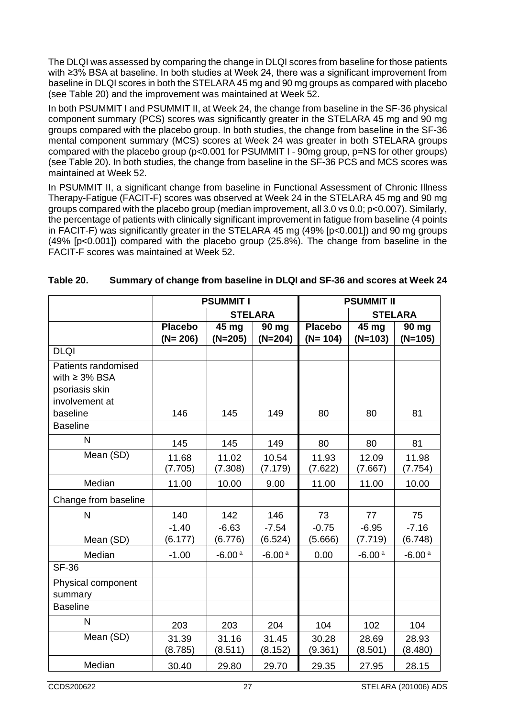The DLQI was assessed by comparing the change in DLQI scores from baseline for those patients with ≥3% BSA at baseline. In both studies at Week 24, there was a significant improvement from baseline in DLQI scores in both the STELARA 45 mg and 90 mg groups as compared with placebo (see Table 20) and the improvement was maintained at Week 52.

In both PSUMMIT I and PSUMMIT II, at Week 24, the change from baseline in the SF-36 physical component summary (PCS) scores was significantly greater in the STELARA 45 mg and 90 mg groups compared with the placebo group. In both studies, the change from baseline in the SF-36 mental component summary (MCS) scores at Week 24 was greater in both STELARA groups compared with the placebo group (p<0.001 for PSUMMIT I - 90mg group, p=NS for other groups) (see Table 20). In both studies, the change from baseline in the SF-36 PCS and MCS scores was maintained at Week 52.

In PSUMMIT II, a significant change from baseline in Functional Assessment of Chronic Illness Therapy-Fatigue (FACIT-F) scores was observed at Week 24 in the STELARA 45 mg and 90 mg groups compared with the placebo group (median improvement, all 3.0 vs 0.0; p<0.007). Similarly, the percentage of patients with clinically significant improvement in fatigue from baseline (4 points in FACIT-F) was significantly greater in the STELARA 45 mg (49% [p<0.001]) and 90 mg groups (49% [p<0.001]) compared with the placebo group (25.8%). The change from baseline in the FACIT-F scores was maintained at Week 52.

|                                                                               | <b>PSUMMIT I</b>              |                    |                    |                             | <b>PSUMMIT II</b>  |                    |  |  |
|-------------------------------------------------------------------------------|-------------------------------|--------------------|--------------------|-----------------------------|--------------------|--------------------|--|--|
|                                                                               | <b>STELARA</b>                |                    |                    |                             | <b>STELARA</b>     |                    |  |  |
|                                                                               | <b>Placebo</b><br>$(N = 206)$ | 45 mg<br>$(N=205)$ | 90 mg<br>$(N=204)$ | <b>Placebo</b><br>$(N=104)$ | 45 mg<br>$(N=103)$ | 90 mg<br>$(N=105)$ |  |  |
| <b>DLQI</b>                                                                   |                               |                    |                    |                             |                    |                    |  |  |
| Patients randomised<br>with $\geq$ 3% BSA<br>psoriasis skin<br>involvement at |                               |                    |                    |                             |                    |                    |  |  |
| baseline                                                                      | 146                           | 145                | 149                | 80                          | 80                 | 81                 |  |  |
| <b>Baseline</b>                                                               |                               |                    |                    |                             |                    |                    |  |  |
| $\mathsf{N}$                                                                  | 145                           | 145                | 149                | 80                          | 80                 | 81                 |  |  |
| Mean (SD)                                                                     | 11.68<br>(7.705)              | 11.02<br>(7.308)   | 10.54<br>(7.179)   | 11.93<br>(7.622)            | 12.09<br>(7.667)   | 11.98<br>(7.754)   |  |  |
| Median                                                                        | 11.00                         | 10.00              | 9.00               | 11.00                       | 11.00              | 10.00              |  |  |
| Change from baseline                                                          |                               |                    |                    |                             |                    |                    |  |  |
| $\mathsf{N}$                                                                  | 140                           | 142                | 146                | 73                          | 77                 | 75                 |  |  |
| Mean (SD)                                                                     | $-1.40$<br>(6.177)            | $-6.63$<br>(6.776) | $-7.54$<br>(6.524) | $-0.75$<br>(5.666)          | $-6.95$<br>(7.719) | $-7.16$<br>(6.748) |  |  |
| Median                                                                        | $-1.00$                       | $-6.00a$           | $-6.00a$           | 0.00                        | $-6.00a$           | $-6.00a$           |  |  |
| <b>SF-36</b>                                                                  |                               |                    |                    |                             |                    |                    |  |  |
| Physical component<br>summary                                                 |                               |                    |                    |                             |                    |                    |  |  |
| <b>Baseline</b>                                                               |                               |                    |                    |                             |                    |                    |  |  |
| N                                                                             | 203                           | 203                | 204                | 104                         | 102                | 104                |  |  |
| Mean (SD)                                                                     | 31.39<br>(8.785)              | 31.16<br>(8.511)   | 31.45<br>(8.152)   | 30.28<br>(9.361)            | 28.69<br>(8.501)   | 28.93<br>(8.480)   |  |  |
| Median                                                                        | 30.40                         | 29.80              | 29.70              | 29.35                       | 27.95              | 28.15              |  |  |

## **Table 20. Summary of change from baseline in DLQI and SF-36 and scores at Week 24**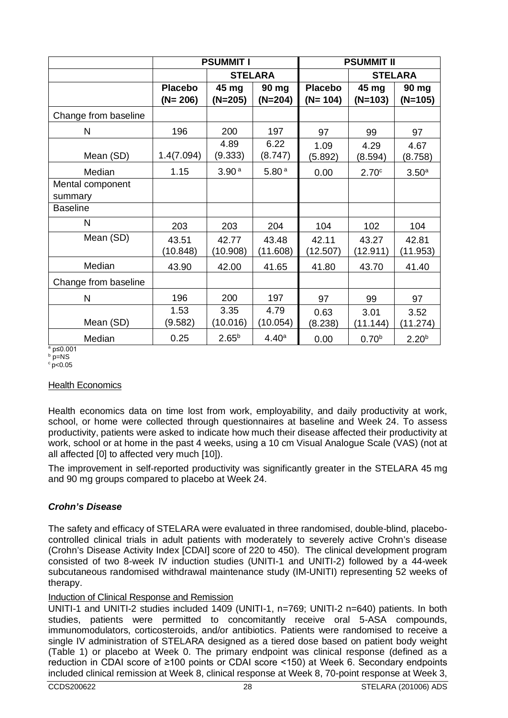|                      | <b>PSUMMIT I</b> |                   |                   | <b>PSUMMIT II</b> |                   |                   |
|----------------------|------------------|-------------------|-------------------|-------------------|-------------------|-------------------|
|                      | <b>STELARA</b>   |                   |                   | <b>STELARA</b>    |                   |                   |
|                      | <b>Placebo</b>   | 45 mg             | 90 mg             | <b>Placebo</b>    | 45 mg             | 90 mg             |
|                      | $(N = 206)$      | $(N=205)$         | $(N=204)$         | $(N=104)$         | $(N=103)$         | $(N=105)$         |
| Change from baseline |                  |                   |                   |                   |                   |                   |
| N                    | 196              | 200               | 197               | 97                | 99                | 97                |
|                      |                  | 4.89              | 6.22              | 1.09              | 4.29              | 4.67              |
| Mean (SD)            | 1.4(7.094)       | (9.333)           | (8.747)           | (5.892)           | (8.594)           | (8.758)           |
| Median               | 1.15             | 3.90 <sup>a</sup> | 5.80 <sup>a</sup> | 0.00              | 2.70 <sup>c</sup> | 3.50 <sup>a</sup> |
| Mental component     |                  |                   |                   |                   |                   |                   |
| summary              |                  |                   |                   |                   |                   |                   |
| <b>Baseline</b>      |                  |                   |                   |                   |                   |                   |
| N                    | 203              | 203               | 204               | 104               | 102               | 104               |
| Mean (SD)            | 43.51            | 42.77             | 43.48             | 42.11             | 43.27             | 42.81             |
|                      | (10.848)         | (10.908)          | (11.608)          | (12.507)          | (12.911)          | (11.953)          |
| Median               | 43.90            | 42.00             | 41.65             | 41.80             | 43.70             | 41.40             |
| Change from baseline |                  |                   |                   |                   |                   |                   |
| $\mathsf{N}$         | 196              | 200               | 197               | 97                | 99                | 97                |
|                      | 1.53             | 3.35              | 4.79              | 0.63              | 3.01              | 3.52              |
| Mean (SD)            | (9.582)          | (10.016)          | (10.054)          | (8.238)           | (11.144)          | (11.274)          |
| Median               | 0.25             | $2.65^{b}$        | 4.40 <sup>a</sup> | 0.00              | 0.70 <sup>b</sup> | $2.20^{b}$        |

<sup>a</sup> p≤0.001  $b$  p=NS

 $\degree$  p<0.05

#### Health Economics

Health economics data on time lost from work, employability, and daily productivity at work, school, or home were collected through questionnaires at baseline and Week 24. To assess productivity, patients were asked to indicate how much their disease affected their productivity at work, school or at home in the past 4 weeks, using a 10 cm Visual Analogue Scale (VAS) (not at all affected [0] to affected very much [10]).

The improvement in self-reported productivity was significantly greater in the STELARA 45 mg and 90 mg groups compared to placebo at Week 24.

# *Crohn's Disease*

The safety and efficacy of STELARA were evaluated in three randomised, double-blind, placebocontrolled clinical trials in adult patients with moderately to severely active Crohn's disease (Crohn's Disease Activity Index [CDAI] score of 220 to 450). The clinical development program consisted of two 8-week IV induction studies (UNITI-1 and UNITI-2) followed by a 44-week subcutaneous randomised withdrawal maintenance study (IM-UNITI) representing 52 weeks of therapy.

#### Induction of Clinical Response and Remission

UNITI-1 and UNITI-2 studies included 1409 (UNITI-1, n=769; UNITI-2 n=640) patients. In both studies, patients were permitted to concomitantly receive oral 5-ASA compounds, immunomodulators, corticosteroids, and/or antibiotics. Patients were randomised to receive a single IV administration of STELARA designed as a tiered dose based on patient body weight (Table 1) or placebo at Week 0. The primary endpoint was clinical response (defined as a reduction in CDAI score of ≥100 points or CDAI score <150) at Week 6. Secondary endpoints included clinical remission at Week 8, clinical response at Week 8, 70-point response at Week 3,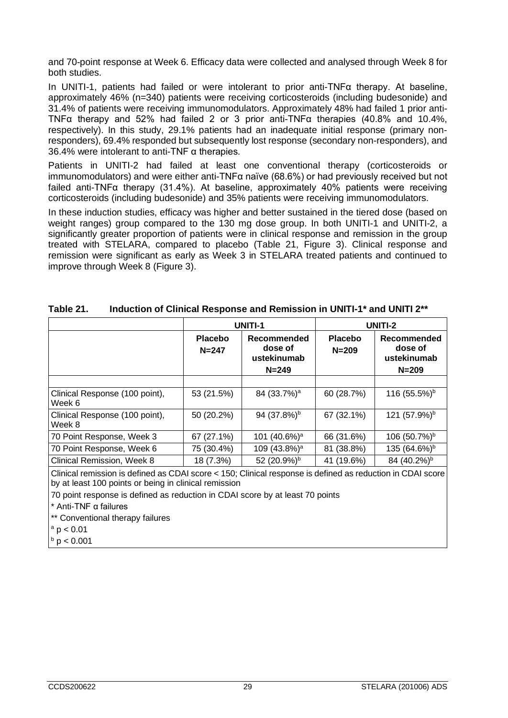and 70-point response at Week 6. Efficacy data were collected and analysed through Week 8 for both studies.

In UNITI-1, patients had failed or were intolerant to prior anti-TNFα therapy. At baseline, approximately 46% (n=340) patients were receiving corticosteroids (including budesonide) and 31.4% of patients were receiving immunomodulators. Approximately 48% had failed 1 prior anti-TNFα therapy and 52% had failed 2 or 3 prior anti-TNFα therapies (40.8% and 10.4%, respectively). In this study, 29.1% patients had an inadequate initial response (primary nonresponders), 69.4% responded but subsequently lost response (secondary non-responders), and 36.4% were intolerant to anti-TNF α therapies.

Patients in UNITI-2 had failed at least one conventional therapy (corticosteroids or immunomodulators) and were either anti-TNFα naïve (68.6%) or had previously received but not failed anti-TNFα therapy (31.4%). At baseline, approximately 40% patients were receiving corticosteroids (including budesonide) and 35% patients were receiving immunomodulators.

In these induction studies, efficacy was higher and better sustained in the tiered dose (based on weight ranges) group compared to the 130 mg dose group. In both UNITI-1 and UNITI-2, a significantly greater proportion of patients were in clinical response and remission in the group treated with STELARA, compared to placebo (Table 21, Figure 3). Clinical response and remission were significant as early as Week 3 in STELARA treated patients and continued to improve through Week 8 (Figure 3).

|                                          |                             | <b>UNITI-1</b>                                     | UNITI-2                     |                                                    |  |
|------------------------------------------|-----------------------------|----------------------------------------------------|-----------------------------|----------------------------------------------------|--|
|                                          | <b>Placebo</b><br>$N = 247$ | Recommended<br>dose of<br>ustekinumab<br>$N = 249$ | <b>Placebo</b><br>$N = 209$ | Recommended<br>dose of<br>ustekinumab<br>$N = 209$ |  |
|                                          |                             |                                                    |                             |                                                    |  |
| Clinical Response (100 point),<br>Week 6 | 53 (21.5%)                  | 84 (33.7%) <sup>a</sup>                            | 60 (28.7%)                  | 116 (55.5%) <sup>b</sup>                           |  |
| Clinical Response (100 point),<br>Week 8 | 50 (20.2%)                  | 94 (37.8%) <sup>b</sup>                            | 67 (32.1%)                  | 121 (57.9%) <sup>b</sup>                           |  |
| 70 Point Response, Week 3                | 67 (27.1%)                  | 101 (40.6%) <sup>a</sup>                           | 66 (31.6%)                  | 106 (50.7%) <sup>b</sup>                           |  |
| 70 Point Response, Week 6                | 75 (30.4%)                  | 109 (43.8%) <sup>a</sup>                           | 81 (38.8%)                  | 135 (64.6%) <sup>b</sup>                           |  |
| Clinical Remission, Week 8               | 18 (7.3%)                   | 52 (20.9%) <sup>b</sup>                            | 41 (19.6%)                  | 84 (40.2%) <sup>b</sup>                            |  |

| Induction of Clinical Response and Remission in UNITI-1* and UNITI 2** |
|------------------------------------------------------------------------|
|                                                                        |

Clinical remission is defined as CDAI score < 150; Clinical response is defined as reduction in CDAI score by at least 100 points or being in clinical remission

70 point response is defined as reduction in CDAI score by at least 70 points

\* Anti-TNF α failures

\*\* Conventional therapy failures

 $a$  p  $< 0.01$ 

 $\rm{^b}$  p  $< 0.001$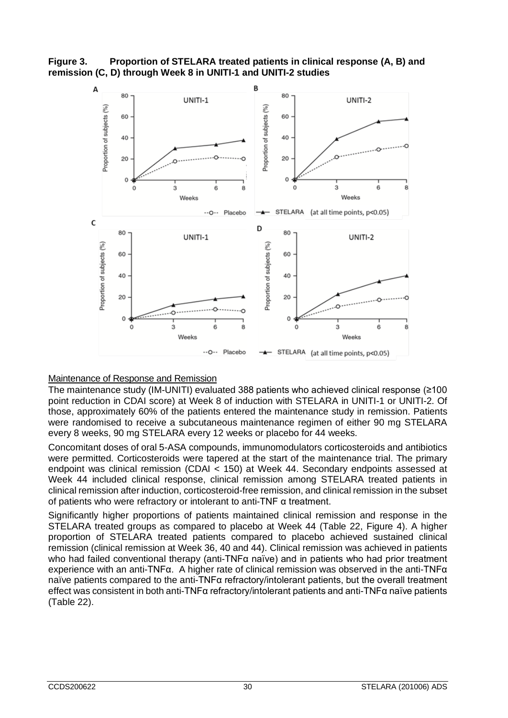**Figure 3. Proportion of STELARA treated patients in clinical response (A, B) and remission (C, D) through Week 8 in UNITI-1 and UNITI-2 studies**



# Maintenance of Response and Remission

The maintenance study (IM-UNITI) evaluated 388 patients who achieved clinical response (≥100 point reduction in CDAI score) at Week 8 of induction with STELARA in UNITI-1 or UNITI-2. Of those, approximately 60% of the patients entered the maintenance study in remission. Patients were randomised to receive a subcutaneous maintenance regimen of either 90 mg STELARA every 8 weeks, 90 mg STELARA every 12 weeks or placebo for 44 weeks.

Concomitant doses of oral 5-ASA compounds, immunomodulators corticosteroids and antibiotics were permitted. Corticosteroids were tapered at the start of the maintenance trial. The primary endpoint was clinical remission (CDAI < 150) at Week 44. Secondary endpoints assessed at Week 44 included clinical response, clinical remission among STELARA treated patients in clinical remission after induction, corticosteroid-free remission, and clinical remission in the subset of patients who were refractory or intolerant to anti-TNF α treatment.

Significantly higher proportions of patients maintained clinical remission and response in the STELARA treated groups as compared to placebo at Week 44 (Table 22, Figure 4). A higher proportion of STELARA treated patients compared to placebo achieved sustained clinical remission (clinical remission at Week 36, 40 and 44). Clinical remission was achieved in patients who had failed conventional therapy (anti-TNFα naïve) and in patients who had prior treatment experience with an anti-TNFα. A higher rate of clinical remission was observed in the anti-TNFα naïve patients compared to the anti-TNFα refractory/intolerant patients, but the overall treatment effect was consistent in both anti-TNFα refractory/intolerant patients and anti-TNFα naïve patients (Table 22).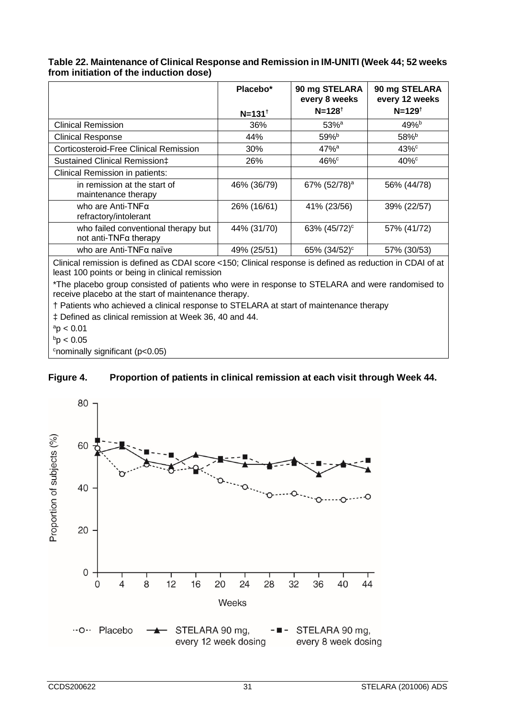| Table 22. Maintenance of Clinical Response and Remission in IM-UNITI (Week 44; 52 weeks |
|-----------------------------------------------------------------------------------------|
| from initiation of the induction dose)                                                  |

|                                                                                                                                                              | Placebo*            | 90 mg STELARA<br>every 8 weeks | 90 mg STELARA<br>every 12 weeks |  |
|--------------------------------------------------------------------------------------------------------------------------------------------------------------|---------------------|--------------------------------|---------------------------------|--|
|                                                                                                                                                              | $N = 131^{\dagger}$ | $N = 128^{t}$                  | $N = 129^{t}$                   |  |
| <b>Clinical Remission</b>                                                                                                                                    | 36%                 | $53%$ <sup>a</sup>             | $49%^{b}$                       |  |
| <b>Clinical Response</b>                                                                                                                                     | 44%                 | 59% <sup>b</sup>               | 58% <sup>b</sup>                |  |
| Corticosteroid-Free Clinical Remission                                                                                                                       | 30%                 | $47%$ <sup>a</sup>             | $43\%$ <sup>c</sup>             |  |
| Sustained Clinical Remission‡                                                                                                                                | 26%                 | $46\%$                         | $40\%$                          |  |
| Clinical Remission in patients:                                                                                                                              |                     |                                |                                 |  |
| in remission at the start of<br>maintenance therapy                                                                                                          | 46% (36/79)         | 67% (52/78) <sup>a</sup>       | 56% (44/78)                     |  |
| who are Anti-TNFα<br>refractory/intolerant                                                                                                                   | 26% (16/61)         | 41% (23/56)                    | 39% (22/57)                     |  |
| who failed conventional therapy but<br>not anti-TNFa therapy                                                                                                 | 44% (31/70)         | 63% (45/72) <sup>c</sup>       | 57% (41/72)                     |  |
| who are Anti-TNFα naïve                                                                                                                                      | 49% (25/51)         | 65% (34/52) <sup>c</sup>       | 57% (30/53)                     |  |
| Clinical remission is defined as CDAI score <150; Clinical response is defined as reduction in CDAI of at<br>least 100 points or being in clinical remission |                     |                                |                                 |  |
| *The placebo group consisted of patients who were in response to STELARA and were randomised to<br>receive placebo at the start of maintenance therapy.      |                     |                                |                                 |  |

† Patients who achieved a clinical response to STELARA at start of maintenance therapy

‡ Defined as clinical remission at Week 36, 40 and 44.

 $a$ <sup>a</sup>p < 0.01

 $b$ p < 0.05

c nominally significant (p<0.05)

# **Figure 4. Proportion of patients in clinical remission at each visit through Week 44.**

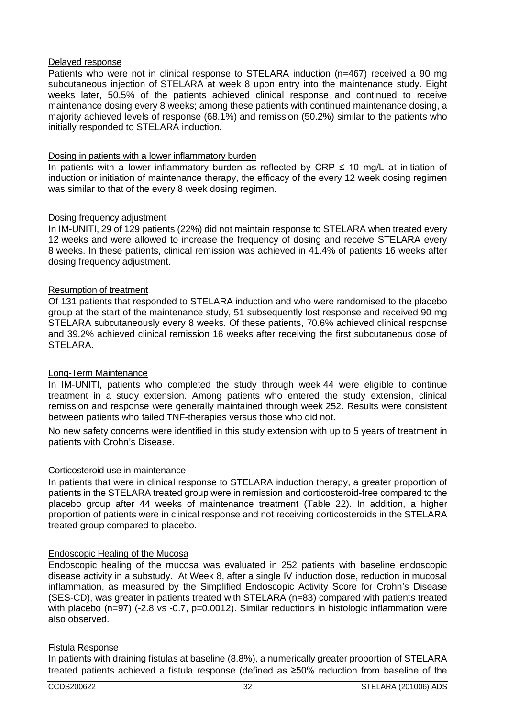#### Delayed response

Patients who were not in clinical response to STELARA induction (n=467) received a 90 mg subcutaneous injection of STELARA at week 8 upon entry into the maintenance study. Eight weeks later, 50.5% of the patients achieved clinical response and continued to receive maintenance dosing every 8 weeks; among these patients with continued maintenance dosing, a majority achieved levels of response (68.1%) and remission (50.2%) similar to the patients who initially responded to STELARA induction.

## Dosing in patients with a lower inflammatory burden

In patients with a lower inflammatory burden as reflected by CRP  $\leq$  10 mg/L at initiation of induction or initiation of maintenance therapy, the efficacy of the every 12 week dosing regimen was similar to that of the every 8 week dosing regimen.

## Dosing frequency adjustment

In IM-UNITI, 29 of 129 patients (22%) did not maintain response to STELARA when treated every 12 weeks and were allowed to increase the frequency of dosing and receive STELARA every 8 weeks. In these patients, clinical remission was achieved in 41.4% of patients 16 weeks after dosing frequency adjustment.

## Resumption of treatment

Of 131 patients that responded to STELARA induction and who were randomised to the placebo group at the start of the maintenance study, 51 subsequently lost response and received 90 mg STELARA subcutaneously every 8 weeks. Of these patients, 70.6% achieved clinical response and 39.2% achieved clinical remission 16 weeks after receiving the first subcutaneous dose of STELARA.

# Long-Term Maintenance

In IM-UNITI, patients who completed the study through week 44 were eligible to continue treatment in a study extension. Among patients who entered the study extension, clinical remission and response were generally maintained through week 252. Results were consistent between patients who failed TNF-therapies versus those who did not.

No new safety concerns were identified in this study extension with up to 5 years of treatment in patients with Crohn's Disease.

#### Corticosteroid use in maintenance

In patients that were in clinical response to STELARA induction therapy, a greater proportion of patients in the STELARA treated group were in remission and corticosteroid-free compared to the placebo group after 44 weeks of maintenance treatment (Table 22). In addition, a higher proportion of patients were in clinical response and not receiving corticosteroids in the STELARA treated group compared to placebo.

# Endoscopic Healing of the Mucosa

Endoscopic healing of the mucosa was evaluated in 252 patients with baseline endoscopic disease activity in a substudy. At Week 8, after a single IV induction dose, reduction in mucosal inflammation, as measured by the Simplified Endoscopic Activity Score for Crohn's Disease (SES-CD), was greater in patients treated with STELARA (n=83) compared with patients treated with placebo (n=97) (-2.8 vs -0.7, p=0.0012). Similar reductions in histologic inflammation were also observed.

#### Fistula Response

In patients with draining fistulas at baseline (8.8%), a numerically greater proportion of STELARA treated patients achieved a fistula response (defined as ≥50% reduction from baseline of the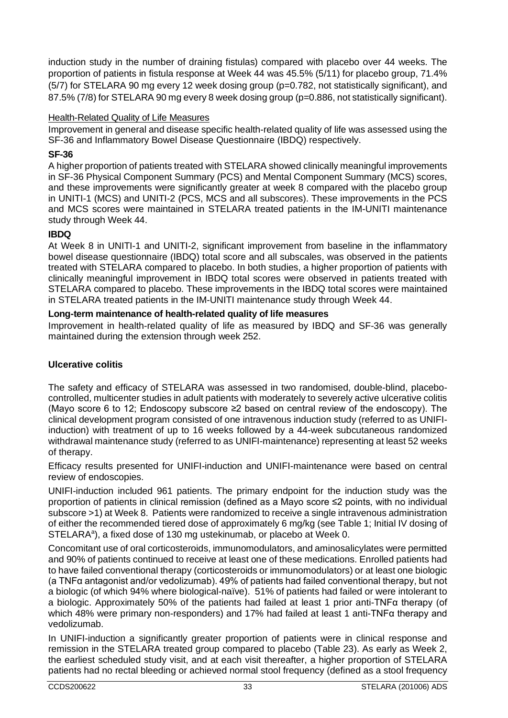induction study in the number of draining fistulas) compared with placebo over 44 weeks. The proportion of patients in fistula response at Week 44 was 45.5% (5/11) for placebo group, 71.4% (5/7) for STELARA 90 mg every 12 week dosing group (p=0.782, not statistically significant), and 87.5% (7/8) for STELARA 90 mg every 8 week dosing group (p=0.886, not statistically significant).

## Health-Related Quality of Life Measures

Improvement in general and disease specific health-related quality of life was assessed using the SF-36 and Inflammatory Bowel Disease Questionnaire (IBDQ) respectively.

## **SF-36**

A higher proportion of patients treated with STELARA showed clinically meaningful improvements in SF-36 Physical Component Summary (PCS) and Mental Component Summary (MCS) scores, and these improvements were significantly greater at week 8 compared with the placebo group in UNITI-1 (MCS) and UNITI-2 (PCS, MCS and all subscores). These improvements in the PCS and MCS scores were maintained in STELARA treated patients in the IM-UNITI maintenance study through Week 44.

## **IBDQ**

At Week 8 in UNITI-1 and UNITI-2, significant improvement from baseline in the inflammatory bowel disease questionnaire (IBDQ) total score and all subscales, was observed in the patients treated with STELARA compared to placebo. In both studies, a higher proportion of patients with clinically meaningful improvement in IBDQ total scores were observed in patients treated with STELARA compared to placebo. These improvements in the IBDQ total scores were maintained in STELARA treated patients in the IM-UNITI maintenance study through Week 44.

#### **Long-term maintenance of health-related quality of life measures**

Improvement in health-related quality of life as measured by IBDQ and SF-36 was generally maintained during the extension through week 252.

# **Ulcerative colitis**

The safety and efficacy of STELARA was assessed in two randomised, double-blind, placebocontrolled, multicenter studies in adult patients with moderately to severely active ulcerative colitis (Mayo score 6 to 12; Endoscopy subscore ≥2 based on central review of the endoscopy). The clinical development program consisted of one intravenous induction study (referred to as UNIFIinduction) with treatment of up to 16 weeks followed by a 44-week subcutaneous randomized withdrawal maintenance study (referred to as UNIFI-maintenance) representing at least 52 weeks of therapy.

Efficacy results presented for UNIFI-induction and UNIFI-maintenance were based on central review of endoscopies.

UNIFI-induction included 961 patients. The primary endpoint for the induction study was the proportion of patients in clinical remission (defined as a Mayo score ≤2 points, with no individual subscore >1) at Week 8. Patients were randomized to receive a single intravenous administration of either the recommended tiered dose of approximately 6 mg/kg (see Table 1; Initial IV dosing of STELARA<sup>a</sup>), a fixed dose of 130 mg ustekinumab, or placebo at Week 0.

Concomitant use of oral corticosteroids, immunomodulators, and aminosalicylates were permitted and 90% of patients continued to receive at least one of these medications. Enrolled patients had to have failed conventional therapy (corticosteroids or immunomodulators) or at least one biologic (a TNFα antagonist and/or vedolizumab). 49% of patients had failed conventional therapy, but not a biologic (of which 94% where biological-naïve). 51% of patients had failed or were intolerant to a biologic. Approximately 50% of the patients had failed at least 1 prior anti-TNFα therapy (of which 48% were primary non-responders) and 17% had failed at least 1 anti-TNFα therapy and vedolizumab.

In UNIFI-induction a significantly greater proportion of patients were in clinical response and remission in the STELARA treated group compared to placebo (Table 23). As early as Week 2, the earliest scheduled study visit, and at each visit thereafter, a higher proportion of STELARA patients had no rectal bleeding or achieved normal stool frequency (defined as a stool frequency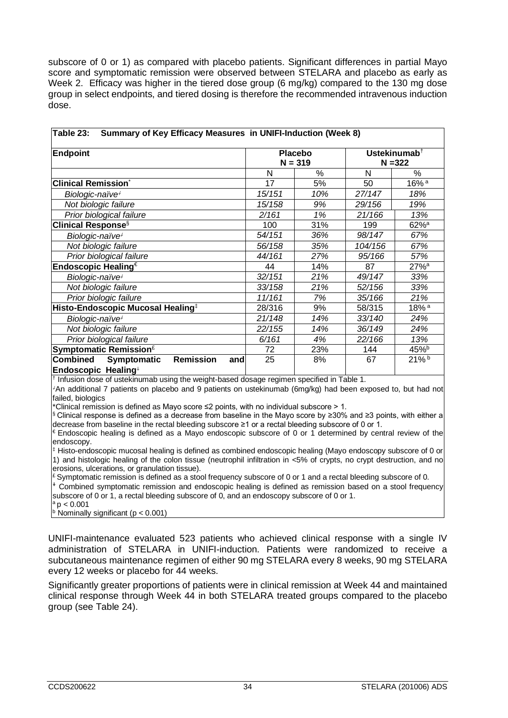subscore of 0 or 1) as compared with placebo patients. Significant differences in partial Mayo score and symptomatic remission were observed between STELARA and placebo as early as Week 2. Efficacy was higher in the tiered dose group (6 mg/kg) compared to the 130 mg dose group in select endpoints, and tiered dosing is therefore the recommended intravenous induction dose.

| <b>Endpoint</b>                                                                  | <b>Placebo</b><br>$N = 319$ |      | Ustekinumab <sup>+</sup><br>$N = 322$ |                    |
|----------------------------------------------------------------------------------|-----------------------------|------|---------------------------------------|--------------------|
|                                                                                  | N                           | $\%$ | N                                     | $\%$               |
| <b>Clinical Remission</b> *                                                      | 17                          | 5%   | 50                                    | 16% <sup>a</sup>   |
| Biologic-naïve <sup>4</sup>                                                      | 15/151                      | 10%  | 27/147                                | 18%                |
| Not biologic failure                                                             | 15/158                      | 9%   | 29/156                                | 19%                |
| Prior biological failure                                                         | 2/161                       | 1%   | 21/166                                | 13%                |
| <b>Clinical Response</b> §                                                       | 100                         | 31%  | 199                                   | $62%$ <sup>a</sup> |
| Biologic-naïve <sup>+</sup>                                                      | 54/151                      | 36%  | 98/147                                | 67%                |
| Not biologic failure                                                             | 56/158                      | 35%  | 104/156                               | 67%                |
| Prior biological failure                                                         | 44/161                      | 27%  | 95/166                                | 57%                |
| Endoscopic Healing $\epsilon$                                                    | 44                          | 14%  | 87                                    | 27% <sup>a</sup>   |
| Biologic-naïve <sup>+</sup>                                                      | 32/151                      | 21%  | 49/147                                | 33%                |
| Not biologic failure                                                             | 33/158                      | 21%  | 52/156                                | 33%                |
| Prior biologic failure                                                           | 11/161                      | 7%   | 35/166                                | 21%                |
| Histo-Endoscopic Mucosal Healing <sup>‡</sup>                                    | 28/316                      | 9%   | 58/315                                | 18% <sup>a</sup>   |
| Biologic-naïve <sup>+</sup>                                                      | 21/148                      | 14%  | 33/140                                | 24%                |
| Not biologic failure                                                             | 22/155                      | 14%  | 36/149                                | 24%                |
| Prior biological failure                                                         | 6/161                       | 4%   | 22/166                                | 13%                |
| Symptomatic Remission <sup>£</sup>                                               | 72                          | 23%  | 144                                   | 45%                |
| <b>Combined</b><br><b>Remission</b><br>Symptomatic<br>and<br>Endoscopic Healing+ | 25                          | 8%   | 67                                    | 21%b               |

**Table 23: Summary of Key Efficacy Measures in UNIFI-Induction (Week 8)**

 $<sup>†</sup>$  Infusion dose of ustekinumab using the weight-based dosage regimen specified in Table 1.</sup>

⸸An additional 7 patients on placebo and 9 patients on ustekinumab (6mg/kg) had been exposed to, but had not failed, biologics

\*Clinical remission is defined as Mayo score ≤2 points, with no individual subscore > 1.

§ Clinical response is defined as a decrease from baseline in the Mayo score by ≥30% and ≥3 points, with either a decrease from baseline in the rectal bleeding subscore ≥1 or a rectal bleeding subscore of 0 or 1.

 $\epsilon$  Endoscopic healing is defined as a Mayo endoscopic subscore of 0 or 1 determined by central review of the endoscopy.

‡ Histo-endoscopic mucosal healing is defined as combined endoscopic healing (Mayo endoscopy subscore of 0 or 1) and histologic healing of the colon tissue (neutrophil infiltration in <5% of crypts, no crypt destruction, and no erosions, ulcerations, or granulation tissue).

 $E$  Symptomatic remission is defined as a stool frequency subscore of 0 or 1 and a rectal bleeding subscore of 0. **⸸** Combined symptomatic remission and endoscopic healing is defined as remission based on a stool frequency

subscore of 0 or 1, a rectal bleeding subscore of 0, and an endoscopy subscore of 0 or 1.

 $\vert^a$  p < 0.001<br><sup>b</sup> Nominally significant (p < 0.001)

UNIFI-maintenance evaluated 523 patients who achieved clinical response with a single IV administration of STELARA in UNIFI-induction. Patients were randomized to receive a subcutaneous maintenance regimen of either 90 mg STELARA every 8 weeks, 90 mg STELARA every 12 weeks or placebo for 44 weeks.

Significantly greater proportions of patients were in clinical remission at Week 44 and maintained clinical response through Week 44 in both STELARA treated groups compared to the placebo group (see Table 24).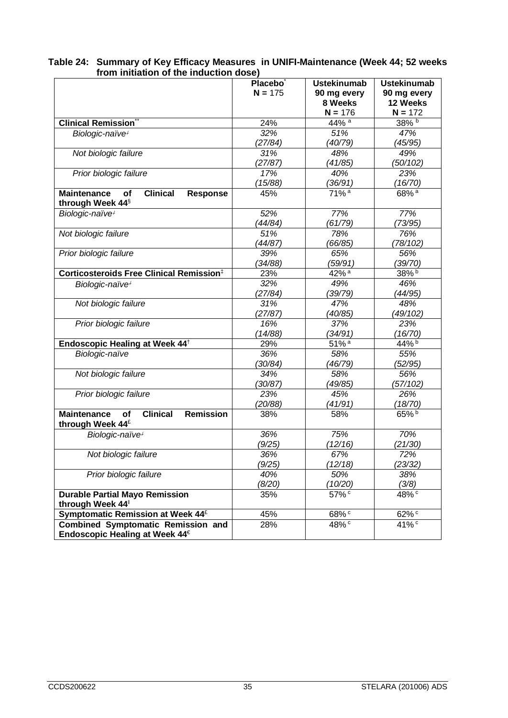|                                                                                                        | Placebo <sup>®</sup><br>$N = 175$ | <b>Ustekinumab</b><br>90 mg every<br>8 Weeks<br>$N = 176$ | <b>Ustekinumab</b><br>90 mg every<br>12 Weeks<br>$N = 172$ |
|--------------------------------------------------------------------------------------------------------|-----------------------------------|-----------------------------------------------------------|------------------------------------------------------------|
| <b>Clinical Remission</b> <sup>®</sup>                                                                 | 24%                               | 44% <sup>a</sup>                                          | 38% b                                                      |
| Biologic-naïve <sup>+</sup>                                                                            | 32%                               | 51%                                                       | 47%                                                        |
|                                                                                                        | (27/84)                           | (40/79)                                                   | (45/95)                                                    |
| Not biologic failure                                                                                   | 31%                               | 48%                                                       | 49%                                                        |
|                                                                                                        | (27/87)                           | (41/85)                                                   | (50/102)                                                   |
| Prior biologic failure                                                                                 | 17%                               | 40%                                                       | 23%                                                        |
|                                                                                                        | (15/88)                           | (36/91)                                                   | (16/70)                                                    |
| <b>Clinical</b><br><b>Maintenance</b><br>of<br><b>Response</b><br>through Week 44 <sup>§</sup>         | 45%                               | 71% <sup>a</sup>                                          | 68% <sup>a</sup>                                           |
| Biologic-naïve <sup>+</sup>                                                                            | 52%                               | 77%                                                       | 77%                                                        |
|                                                                                                        | (44/84)                           | (61/79)                                                   | (73/95)                                                    |
| Not biologic failure                                                                                   | 51%                               | 78%                                                       | 76%                                                        |
|                                                                                                        | (44/87)                           | (66/85)                                                   | (78/102)                                                   |
| Prior biologic failure                                                                                 | 39%                               | 65%                                                       | 56%                                                        |
|                                                                                                        | (34/88)                           | (59/91)                                                   | (39/70)                                                    |
| Corticosteroids Free Clinical Remission <sup>‡</sup>                                                   | 23%                               | $42\%$ <sup>a</sup>                                       | 38%b                                                       |
| Biologic-naïve <sup>+</sup>                                                                            | 32%                               | 49%                                                       | 46%                                                        |
|                                                                                                        | (27/84)                           | (39/79)                                                   | (44/95)                                                    |
| Not biologic failure                                                                                   | 31%                               | 47%                                                       | 48%                                                        |
|                                                                                                        | (27/87)                           | (40/85)                                                   | (49/102)                                                   |
| Prior biologic failure                                                                                 | 16%                               | 37%                                                       | 23%                                                        |
|                                                                                                        | (14/88)                           | (34/91)                                                   | (16/70)                                                    |
| Endoscopic Healing at Week 44 <sup>+</sup>                                                             | 29%                               | 51% <sup>a</sup>                                          | 44%b                                                       |
| Biologic-naïve                                                                                         | 36%                               | 58%                                                       | 55%                                                        |
|                                                                                                        | (30/84)                           | (46/79)                                                   | (52/95)                                                    |
| Not biologic failure                                                                                   | 34%                               | 58%                                                       | 56%                                                        |
|                                                                                                        | (30/87)                           | (49/85)                                                   | (57/102)                                                   |
| Prior biologic failure                                                                                 | 23%                               | 45%                                                       | 26%                                                        |
| <b>Clinical</b><br><b>Remission</b><br><b>Maintenance</b><br><b>of</b><br>through Week 44 <sup>£</sup> | (20/88)<br>38%                    | (41/91)<br>58%                                            | (18/70)<br>65%b                                            |
| Biologic-naïve <sup>+</sup>                                                                            | 36%                               | 75%                                                       | 70%                                                        |
|                                                                                                        | (9/25)                            | (12/16)                                                   | (21/30)                                                    |
| Not biologic failure                                                                                   | 36%                               | 67%                                                       | 72%                                                        |
|                                                                                                        | (9/25)                            | (12/18)                                                   | (23/32)                                                    |
| Prior biologic failure                                                                                 | 40%                               | 50%                                                       | 38%                                                        |
|                                                                                                        | (8/20)                            | (10/20)                                                   | (3/8)                                                      |
| <b>Durable Partial Mayo Remission</b><br>through Week 44                                               | 35%                               | 57%c                                                      | $48\sqrt[6]{c}$                                            |
| Symptomatic Remission at Week 44 <sup>£</sup>                                                          | 45%                               | 68% <sup>c</sup>                                          | 62%c                                                       |
| <b>Combined Symptomatic Remission and</b><br>Endoscopic Healing at Week 44€                            | 28%                               | 48% <sup>c</sup>                                          | 41% <sup>c</sup>                                           |

**Table 24: Summary of Key Efficacy Measures in UNIFI-Maintenance (Week 44; 52 weeks from initiation of the induction dose)**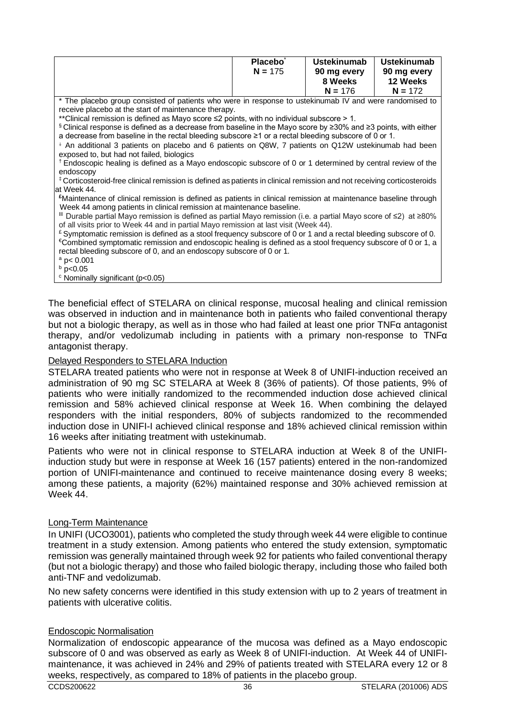|                                                                                                                                         | Placebo <sup>*</sup>                                                                                              | <b>Ustekinumab</b> | <b>Ustekinumab</b> |  |  |
|-----------------------------------------------------------------------------------------------------------------------------------------|-------------------------------------------------------------------------------------------------------------------|--------------------|--------------------|--|--|
|                                                                                                                                         | $N = 175$                                                                                                         | 90 mg every        | 90 mg every        |  |  |
|                                                                                                                                         |                                                                                                                   | 8 Weeks            | 12 Weeks           |  |  |
|                                                                                                                                         |                                                                                                                   | $N = 176$          | $N = 172$          |  |  |
| * The placebo group consisted of patients who were in response to ustekinumab IV and were randomised to                                 |                                                                                                                   |                    |                    |  |  |
| receive placebo at the start of maintenance therapy.                                                                                    |                                                                                                                   |                    |                    |  |  |
| **Clinical remission is defined as Mayo score $\leq$ points, with no individual subscore $>$ 1.                                         |                                                                                                                   |                    |                    |  |  |
| $\frac{1}{2}$ Clinical response is defined as a decrease from baseline in the Mayo score by $\geq$ 30% and $\geq$ 3 points, with either |                                                                                                                   |                    |                    |  |  |
| a decrease from baseline in the rectal bleeding subscore ≥1 or a rectal bleeding subscore of 0 or 1.                                    |                                                                                                                   |                    |                    |  |  |
|                                                                                                                                         | + An additional 3 patients on placebo and 6 patients on Q8W, 7 patients on Q12W ustekinumab had been              |                    |                    |  |  |
| exposed to, but had not failed, biologics                                                                                               |                                                                                                                   |                    |                    |  |  |
| <sup>†</sup> Endoscopic healing is defined as a Mayo endoscopic subscore of 0 or 1 determined by central review of the                  |                                                                                                                   |                    |                    |  |  |
|                                                                                                                                         | endoscopy                                                                                                         |                    |                    |  |  |
| #Corticosteroid-free clinical remission is defined as patients in clinical remission and not receiving corticosteroids                  |                                                                                                                   |                    |                    |  |  |
|                                                                                                                                         | at Week 44.                                                                                                       |                    |                    |  |  |
| <sup>E</sup> Maintenance of clinical remission is defined as patients in clinical remission at maintenance baseline through             |                                                                                                                   |                    |                    |  |  |
|                                                                                                                                         | Week 44 among patients in clinical remission at maintenance baseline.                                             |                    |                    |  |  |
|                                                                                                                                         | III Durable partial Mayo remission is defined as partial Mayo remission (i.e. a partial Mayo score of ≤2) at ≥80% |                    |                    |  |  |
| of all visits prior to Week 44 and in partial Mayo remission at last visit (Week 44).                                                   |                                                                                                                   |                    |                    |  |  |
| £ Symptomatic remission is defined as a stool frequency subscore of 0 or 1 and a rectal bleeding subscore of 0.                         |                                                                                                                   |                    |                    |  |  |
| €Combined symptomatic remission and endoscopic healing is defined as a stool frequency subscore of 0 or 1, a                            |                                                                                                                   |                    |                    |  |  |
| rectal bleeding subscore of 0, and an endoscopy subscore of 0 or 1.                                                                     |                                                                                                                   |                    |                    |  |  |
| $a$ p < 0.001                                                                                                                           |                                                                                                                   |                    |                    |  |  |
| $b$ p<0.05                                                                                                                              |                                                                                                                   |                    |                    |  |  |
| <sup>c</sup> Nominally significant (p<0.05)                                                                                             |                                                                                                                   |                    |                    |  |  |

The beneficial effect of STELARA on clinical response, mucosal healing and clinical remission was observed in induction and in maintenance both in patients who failed conventional therapy but not a biologic therapy, as well as in those who had failed at least one prior TNFα antagonist therapy, and/or vedolizumab including in patients with a primary non-response to TNFα antagonist therapy.

#### Delayed Responders to STELARA Induction

STELARA treated patients who were not in response at Week 8 of UNIFI-induction received an administration of 90 mg SC STELARA at Week 8 (36% of patients). Of those patients, 9% of patients who were initially randomized to the recommended induction dose achieved clinical remission and 58% achieved clinical response at Week 16. When combining the delayed responders with the initial responders, 80% of subjects randomized to the recommended induction dose in UNIFI-I achieved clinical response and 18% achieved clinical remission within 16 weeks after initiating treatment with ustekinumab.

Patients who were not in clinical response to STELARA induction at Week 8 of the UNIFIinduction study but were in response at Week 16 (157 patients) entered in the non-randomized portion of UNIFI-maintenance and continued to receive maintenance dosing every 8 weeks; among these patients, a majority (62%) maintained response and 30% achieved remission at Week 44.

#### Long-Term Maintenance

In UNIFI (UCO3001), patients who completed the study through week 44 were eligible to continue treatment in a study extension. Among patients who entered the study extension, symptomatic remission was generally maintained through week 92 for patients who failed conventional therapy (but not a biologic therapy) and those who failed biologic therapy, including those who failed both anti-TNF and vedolizumab.

No new safety concerns were identified in this study extension with up to 2 years of treatment in patients with ulcerative colitis.

#### Endoscopic Normalisation

Normalization of endoscopic appearance of the mucosa was defined as a Mayo endoscopic subscore of 0 and was observed as early as Week 8 of UNIFI-induction. At Week 44 of UNIFImaintenance, it was achieved in 24% and 29% of patients treated with STELARA every 12 or 8 weeks, respectively, as compared to 18% of patients in the placebo group.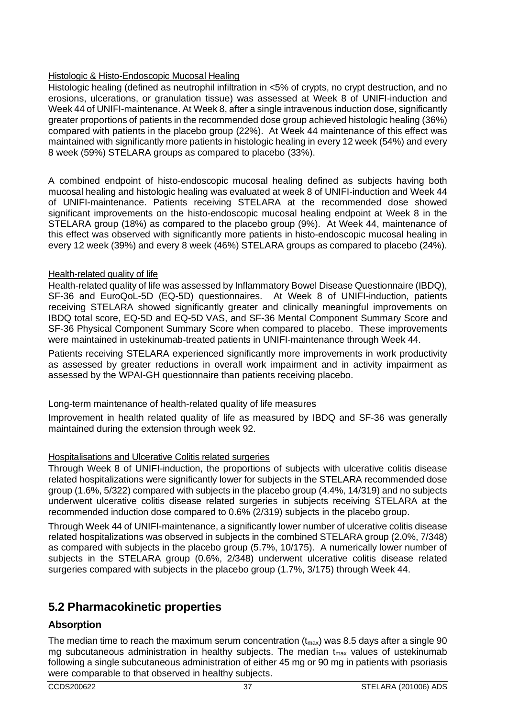# Histologic & Histo-Endoscopic Mucosal Healing

Histologic healing (defined as neutrophil infiltration in <5% of crypts, no crypt destruction, and no erosions, ulcerations, or granulation tissue) was assessed at Week 8 of UNIFI-induction and Week 44 of UNIFI-maintenance. At Week 8, after a single intravenous induction dose, significantly greater proportions of patients in the recommended dose group achieved histologic healing (36%) compared with patients in the placebo group (22%). At Week 44 maintenance of this effect was maintained with significantly more patients in histologic healing in every 12 week (54%) and every 8 week (59%) STELARA groups as compared to placebo (33%).

A combined endpoint of histo-endoscopic mucosal healing defined as subjects having both mucosal healing and histologic healing was evaluated at week 8 of UNIFI-induction and Week 44 of UNIFI-maintenance. Patients receiving STELARA at the recommended dose showed significant improvements on the histo-endoscopic mucosal healing endpoint at Week 8 in the STELARA group (18%) as compared to the placebo group (9%). At Week 44, maintenance of this effect was observed with significantly more patients in histo-endoscopic mucosal healing in every 12 week (39%) and every 8 week (46%) STELARA groups as compared to placebo (24%).

# Health-related quality of life

Health-related quality of life was assessed by Inflammatory Bowel Disease Questionnaire (IBDQ), SF-36 and EuroQoL-5D (EQ-5D) questionnaires. At Week 8 of UNIFI-induction, patients receiving STELARA showed significantly greater and clinically meaningful improvements on IBDQ total score, EQ-5D and EQ-5D VAS, and SF-36 Mental Component Summary Score and SF-36 Physical Component Summary Score when compared to placebo. These improvements were maintained in ustekinumab-treated patients in UNIFI-maintenance through Week 44.

Patients receiving STELARA experienced significantly more improvements in work productivity as assessed by greater reductions in overall work impairment and in activity impairment as assessed by the WPAI-GH questionnaire than patients receiving placebo.

Long-term maintenance of health-related quality of life measures

Improvement in health related quality of life as measured by IBDQ and SF-36 was generally maintained during the extension through week 92.

# Hospitalisations and Ulcerative Colitis related surgeries

Through Week 8 of UNIFI-induction, the proportions of subjects with ulcerative colitis disease related hospitalizations were significantly lower for subjects in the STELARA recommended dose group (1.6%, 5/322) compared with subjects in the placebo group (4.4%, 14/319) and no subjects underwent ulcerative colitis disease related surgeries in subjects receiving STELARA at the recommended induction dose compared to 0.6% (2/319) subjects in the placebo group.

Through Week 44 of UNIFI-maintenance, a significantly lower number of ulcerative colitis disease related hospitalizations was observed in subjects in the combined STELARA group (2.0%, 7/348) as compared with subjects in the placebo group (5.7%, 10/175). A numerically lower number of subjects in the STELARA group (0.6%, 2/348) underwent ulcerative colitis disease related surgeries compared with subjects in the placebo group (1.7%, 3/175) through Week 44.

# **5.2 Pharmacokinetic properties**

# **Absorption**

The median time to reach the maximum serum concentration  $(t_{max})$  was 8.5 days after a single 90 mg subcutaneous administration in healthy subjects. The median  $t_{\text{max}}$  values of ustekinumab following a single subcutaneous administration of either 45 mg or 90 mg in patients with psoriasis were comparable to that observed in healthy subjects.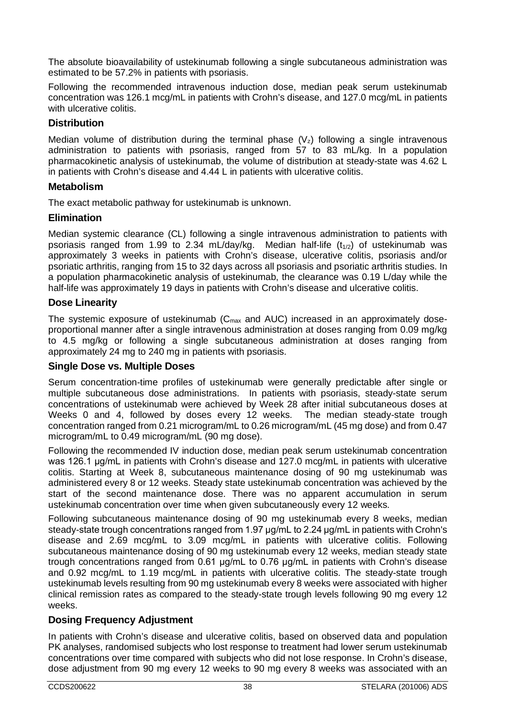The absolute bioavailability of ustekinumab following a single subcutaneous administration was estimated to be 57.2% in patients with psoriasis.

Following the recommended intravenous induction dose, median peak serum ustekinumab concentration was 126.1 mcg/mL in patients with Crohn's disease, and 127.0 mcg/mL in patients with ulcerative colitis.

# **Distribution**

Median volume of distribution during the terminal phase  $(V<sub>z</sub>)$  following a single intravenous administration to patients with psoriasis, ranged from 57 to 83 mL/kg. In a population pharmacokinetic analysis of ustekinumab, the volume of distribution at steady-state was 4.62 L in patients with Crohn's disease and 4.44 L in patients with ulcerative colitis.

## **Metabolism**

The exact metabolic pathway for ustekinumab is unknown.

# **Elimination**

Median systemic clearance (CL) following a single intravenous administration to patients with psoriasis ranged from 1.99 to 2.34 mL/day/kg. Median half-life  $(t_{1/2})$  of ustekinumab was approximately 3 weeks in patients with Crohn's disease, ulcerative colitis, psoriasis and/or psoriatic arthritis, ranging from 15 to 32 days across all psoriasis and psoriatic arthritis studies. In a population pharmacokinetic analysis of ustekinumab, the clearance was 0.19 L/day while the half-life was approximately 19 days in patients with Crohn's disease and ulcerative colitis.

# **Dose Linearity**

The systemic exposure of ustekinumab  $(C_{\text{max}}$  and AUC) increased in an approximately doseproportional manner after a single intravenous administration at doses ranging from 0.09 mg/kg to 4.5 mg/kg or following a single subcutaneous administration at doses ranging from approximately 24 mg to 240 mg in patients with psoriasis.

# **Single Dose vs. Multiple Doses**

Serum concentration-time profiles of ustekinumab were generally predictable after single or multiple subcutaneous dose administrations. In patients with psoriasis, steady-state serum concentrations of ustekinumab were achieved by Week 28 after initial subcutaneous doses at Weeks 0 and 4, followed by doses every 12 weeks. The median steady-state trough concentration ranged from 0.21 microgram/mL to 0.26 microgram/mL (45 mg dose) and from 0.47 microgram/mL to 0.49 microgram/mL (90 mg dose).

Following the recommended IV induction dose, median peak serum ustekinumab concentration was 126.1 μg/mL in patients with Crohn's disease and 127.0 mcg/mL in patients with ulcerative colitis. Starting at Week 8, subcutaneous maintenance dosing of 90 mg ustekinumab was administered every 8 or 12 weeks. Steady state ustekinumab concentration was achieved by the start of the second maintenance dose. There was no apparent accumulation in serum ustekinumab concentration over time when given subcutaneously every 12 weeks.

Following subcutaneous maintenance dosing of 90 mg ustekinumab every 8 weeks, median steady-state trough concentrations ranged from 1.97 μg/mL to 2.24 μg/mL in patients with Crohn's disease and 2.69 mcg/mL to 3.09 mcg/mL in patients with ulcerative colitis. Following subcutaneous maintenance dosing of 90 mg ustekinumab every 12 weeks, median steady state trough concentrations ranged from 0.61 μg/mL to 0.76 μg/mL in patients with Crohn's disease and 0.92 mcg/mL to 1.19 mcg/mL in patients with ulcerative colitis. The steady-state trough ustekinumab levels resulting from 90 mg ustekinumab every 8 weeks were associated with higher clinical remission rates as compared to the steady-state trough levels following 90 mg every 12 weeks.

# **Dosing Frequency Adjustment**

In patients with Crohn's disease and ulcerative colitis, based on observed data and population PK analyses, randomised subjects who lost response to treatment had lower serum ustekinumab concentrations over time compared with subjects who did not lose response. In Crohn's disease, dose adjustment from 90 mg every 12 weeks to 90 mg every 8 weeks was associated with an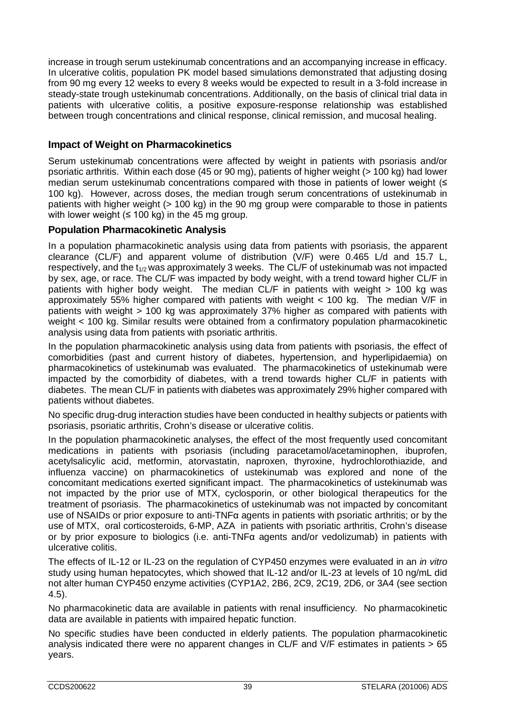increase in trough serum ustekinumab concentrations and an accompanying increase in efficacy. In ulcerative colitis, population PK model based simulations demonstrated that adjusting dosing from 90 mg every 12 weeks to every 8 weeks would be expected to result in a 3-fold increase in steady-state trough ustekinumab concentrations. Additionally, on the basis of clinical trial data in patients with ulcerative colitis, a positive exposure-response relationship was established between trough concentrations and clinical response, clinical remission, and mucosal healing.

# **Impact of Weight on Pharmacokinetics**

Serum ustekinumab concentrations were affected by weight in patients with psoriasis and/or psoriatic arthritis. Within each dose (45 or 90 mg), patients of higher weight (> 100 kg) had lower median serum ustekinumab concentrations compared with those in patients of lower weight (≤ 100 kg). However, across doses, the median trough serum concentrations of ustekinumab in patients with higher weight (> 100 kg) in the 90 mg group were comparable to those in patients with lower weight ( $\leq 100$  kg) in the 45 mg group.

# **Population Pharmacokinetic Analysis**

In a population pharmacokinetic analysis using data from patients with psoriasis, the apparent clearance (CL/F) and apparent volume of distribution (V/F) were 0.465 L/d and 15.7 L, respectively, and the  $t_{1/2}$  was approximately 3 weeks. The CL/F of ustekinumab was not impacted by sex, age, or race. The CL/F was impacted by body weight, with a trend toward higher CL/F in patients with higher body weight. The median CL/F in patients with weight > 100 kg was approximately 55% higher compared with patients with weight  $<$  100 kg. The median  $V/F$  in patients with weight > 100 kg was approximately 37% higher as compared with patients with weight < 100 kg. Similar results were obtained from a confirmatory population pharmacokinetic analysis using data from patients with psoriatic arthritis.

In the population pharmacokinetic analysis using data from patients with psoriasis, the effect of comorbidities (past and current history of diabetes, hypertension, and hyperlipidaemia) on pharmacokinetics of ustekinumab was evaluated. The pharmacokinetics of ustekinumab were impacted by the comorbidity of diabetes, with a trend towards higher CL/F in patients with diabetes. The mean CL/F in patients with diabetes was approximately 29% higher compared with patients without diabetes.

No specific drug-drug interaction studies have been conducted in healthy subjects or patients with psoriasis, psoriatic arthritis, Crohn's disease or ulcerative colitis.

In the population pharmacokinetic analyses, the effect of the most frequently used concomitant medications in patients with psoriasis (including paracetamol/acetaminophen, ibuprofen, acetylsalicylic acid, metformin, atorvastatin, naproxen, thyroxine, hydrochlorothiazide, and influenza vaccine) on pharmacokinetics of ustekinumab was explored and none of the concomitant medications exerted significant impact. The pharmacokinetics of ustekinumab was not impacted by the prior use of MTX, cyclosporin, or other biological therapeutics for the treatment of psoriasis. The pharmacokinetics of ustekinumab was not impacted by concomitant use of NSAIDs or prior exposure to anti-TNFα agents in patients with psoriatic arthritis; or by the use of MTX, oral corticosteroids, 6-MP, AZA in patients with psoriatic arthritis, Crohn's disease or by prior exposure to biologics (i.e. anti-TNFα agents and/or vedolizumab) in patients with ulcerative colitis.

The effects of IL-12 or IL-23 on the regulation of CYP450 enzymes were evaluated in an *in vitro* study using human hepatocytes, which showed that IL-12 and/or IL-23 at levels of 10 ng/mL did not alter human CYP450 enzyme activities (CYP1A2, 2B6, 2C9, 2C19, 2D6, or 3A4 (see section 4.5).

No pharmacokinetic data are available in patients with renal insufficiency. No pharmacokinetic data are available in patients with impaired hepatic function.

No specific studies have been conducted in elderly patients. The population pharmacokinetic analysis indicated there were no apparent changes in CL/F and V/F estimates in patients > 65 years.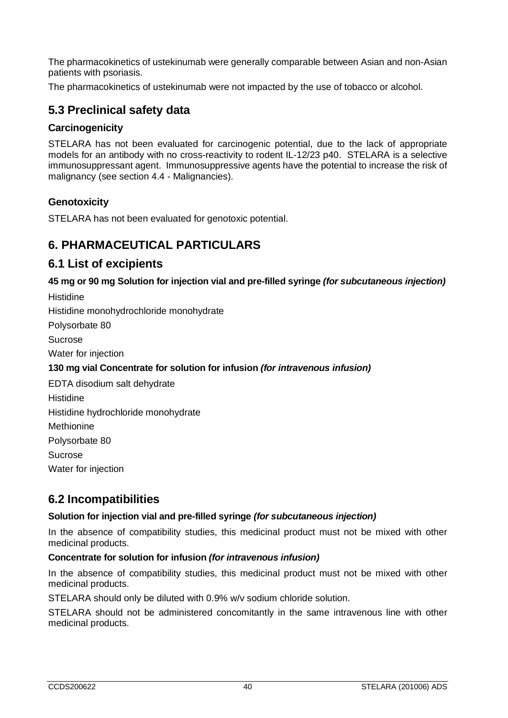The pharmacokinetics of ustekinumab were generally comparable between Asian and non-Asian patients with psoriasis.

The pharmacokinetics of ustekinumab were not impacted by the use of tobacco or alcohol.

# **5.3 Preclinical safety data**

# **Carcinogenicity**

STELARA has not been evaluated for carcinogenic potential, due to the lack of appropriate models for an antibody with no cross-reactivity to rodent IL-12/23 p40. STELARA is a selective immunosuppressant agent. Immunosuppressive agents have the potential to increase the risk of malignancy (see section 4.4 - Malignancies).

# **Genotoxicity**

STELARA has not been evaluated for genotoxic potential.

# **6. PHARMACEUTICAL PARTICULARS**

# **6.1 List of excipients**

**45 mg or 90 mg Solution for injection vial and pre-filled syringe** *(for subcutaneous injection)*

**Histidine** Histidine monohydrochloride monohydrate Polysorbate 80 Sucrose

Water for injection

# **130 mg vial Concentrate for solution for infusion** *(for intravenous infusion)*

EDTA disodium salt dehydrate **Histidine** Histidine hydrochloride monohydrate **Methionine** Polysorbate 80 Sucrose Water for injection

# **6.2 Incompatibilities**

# **Solution for injection vial and pre-filled syringe** *(for subcutaneous injection)*

In the absence of compatibility studies, this medicinal product must not be mixed with other medicinal products.

# **Concentrate for solution for infusion** *(for intravenous infusion)*

In the absence of compatibility studies, this medicinal product must not be mixed with other medicinal products.

STELARA should only be diluted with 0.9% w/v sodium chloride solution.

STELARA should not be administered concomitantly in the same intravenous line with other medicinal products.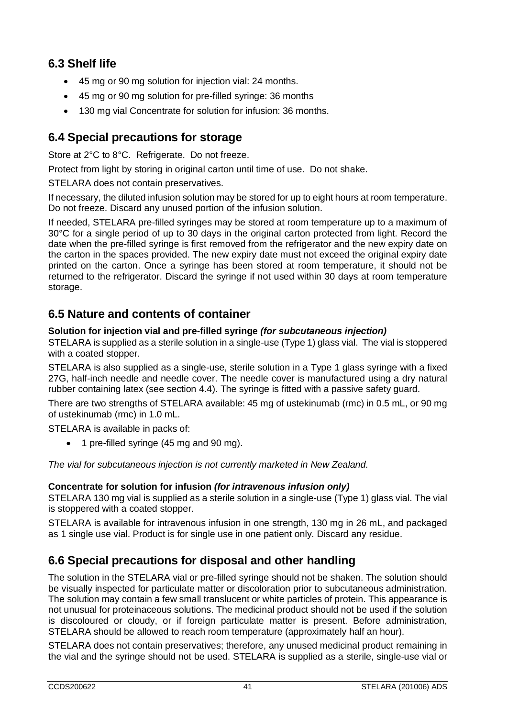# **6.3 Shelf life**

- 45 mg or 90 mg solution for injection vial: 24 months.
- 45 mg or 90 mg solution for pre-filled syringe: 36 months
- 130 mg vial Concentrate for solution for infusion: 36 months.

# **6.4 Special precautions for storage**

Store at 2°C to 8°C. Refrigerate. Do not freeze.

Protect from light by storing in original carton until time of use. Do not shake.

STELARA does not contain preservatives.

If necessary, the diluted infusion solution may be stored for up to eight hours at room temperature. Do not freeze. Discard any unused portion of the infusion solution.

If needed, STELARA pre-filled syringes may be stored at room temperature up to a maximum of 30°C for a single period of up to 30 days in the original carton protected from light. Record the date when the pre-filled syringe is first removed from the refrigerator and the new expiry date on the carton in the spaces provided. The new expiry date must not exceed the original expiry date printed on the carton. Once a syringe has been stored at room temperature, it should not be returned to the refrigerator. Discard the syringe if not used within 30 days at room temperature storage.

# **6.5 Nature and contents of container**

## **Solution for injection vial and pre-filled syringe** *(for subcutaneous injection)*

STELARA is supplied as a sterile solution in a single-use (Type 1) glass vial. The vial is stoppered with a coated stopper.

STELARA is also supplied as a single-use, sterile solution in a Type 1 glass syringe with a fixed 27G, half-inch needle and needle cover. The needle cover is manufactured using a dry natural rubber containing latex (see section 4.4). The syringe is fitted with a passive safety guard.

There are two strengths of STELARA available: 45 mg of ustekinumab (rmc) in 0.5 mL, or 90 mg of ustekinumab (rmc) in 1.0 mL.

STELARA is available in packs of:

• 1 pre-filled syringe (45 mg and 90 mg).

*The vial for subcutaneous injection is not currently marketed in New Zealand.*

# **Concentrate for solution for infusion** *(for intravenous infusion only)*

STELARA 130 mg vial is supplied as a sterile solution in a single-use (Type 1) glass vial. The vial is stoppered with a coated stopper.

STELARA is available for intravenous infusion in one strength, 130 mg in 26 mL, and packaged as 1 single use vial. Product is for single use in one patient only. Discard any residue.

# **6.6 Special precautions for disposal and other handling**

The solution in the STELARA vial or pre-filled syringe should not be shaken. The solution should be visually inspected for particulate matter or discoloration prior to subcutaneous administration. The solution may contain a few small translucent or white particles of protein. This appearance is not unusual for proteinaceous solutions. The medicinal product should not be used if the solution is discoloured or cloudy, or if foreign particulate matter is present. Before administration, STELARA should be allowed to reach room temperature (approximately half an hour).

STELARA does not contain preservatives; therefore, any unused medicinal product remaining in the vial and the syringe should not be used. STELARA is supplied as a sterile, single-use vial or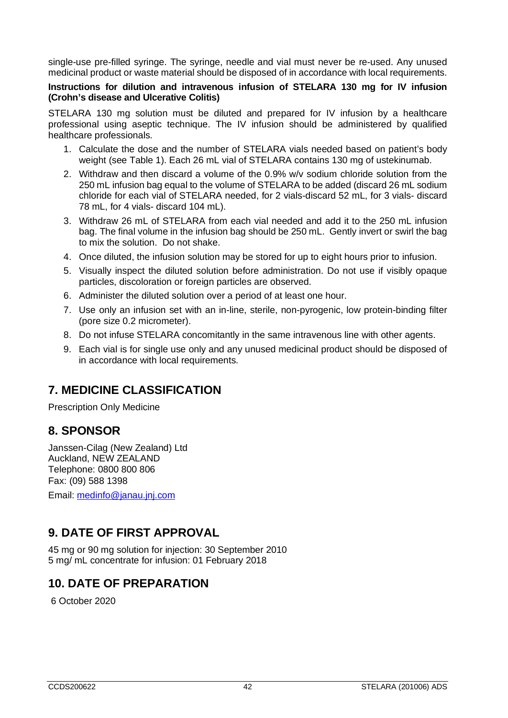single-use pre-filled syringe. The syringe, needle and vial must never be re-used. Any unused medicinal product or waste material should be disposed of in accordance with local requirements.

#### **Instructions for dilution and intravenous infusion of STELARA 130 mg for IV infusion (Crohn's disease and Ulcerative Colitis)**

STELARA 130 mg solution must be diluted and prepared for IV infusion by a healthcare professional using aseptic technique. The IV infusion should be administered by qualified healthcare professionals.

- 1. Calculate the dose and the number of STELARA vials needed based on patient's body weight (see Table 1). Each 26 mL vial of STELARA contains 130 mg of ustekinumab.
- 2. Withdraw and then discard a volume of the 0.9% w/v sodium chloride solution from the 250 mL infusion bag equal to the volume of STELARA to be added (discard 26 mL sodium chloride for each vial of STELARA needed, for 2 vials-discard 52 mL, for 3 vials- discard 78 mL, for 4 vials- discard 104 mL).
- 3. Withdraw 26 mL of STELARA from each vial needed and add it to the 250 mL infusion bag. The final volume in the infusion bag should be 250 mL. Gently invert or swirl the bag to mix the solution. Do not shake.
- 4. Once diluted, the infusion solution may be stored for up to eight hours prior to infusion.
- 5. Visually inspect the diluted solution before administration. Do not use if visibly opaque particles, discoloration or foreign particles are observed.
- 6. Administer the diluted solution over a period of at least one hour.
- 7. Use only an infusion set with an in-line, sterile, non-pyrogenic, low protein-binding filter (pore size 0.2 micrometer).
- 8. Do not infuse STELARA concomitantly in the same intravenous line with other agents.
- 9. Each vial is for single use only and any unused medicinal product should be disposed of in accordance with local requirements.

# **7. MEDICINE CLASSIFICATION**

Prescription Only Medicine

# **8. SPONSOR**

Janssen-Cilag (New Zealand) Ltd Auckland, NEW ZEALAND Telephone: 0800 800 806 Fax: (09) 588 1398 Email: [medinfo@janau.jnj.com](mailto:medinfo@janau.jnj.com)

# **9. DATE OF FIRST APPROVAL**

45 mg or 90 mg solution for injection: 30 September 2010 5 mg/ mL concentrate for infusion: 01 February 2018

# **10. DATE OF PREPARATION**

6 October 2020